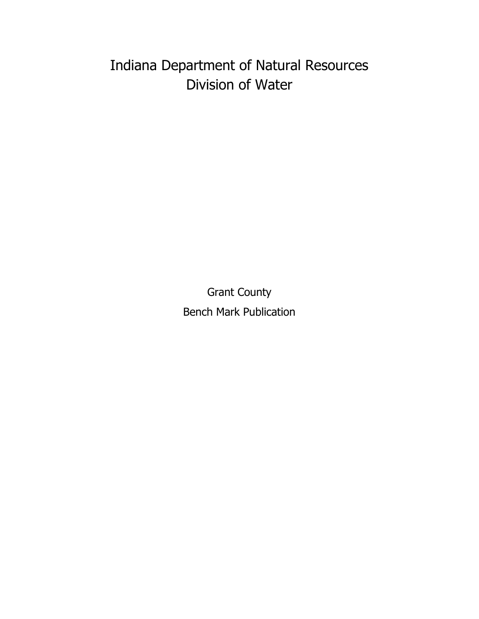# Indiana Department of Natural Resources Division of Water

Grant County Bench Mark Publication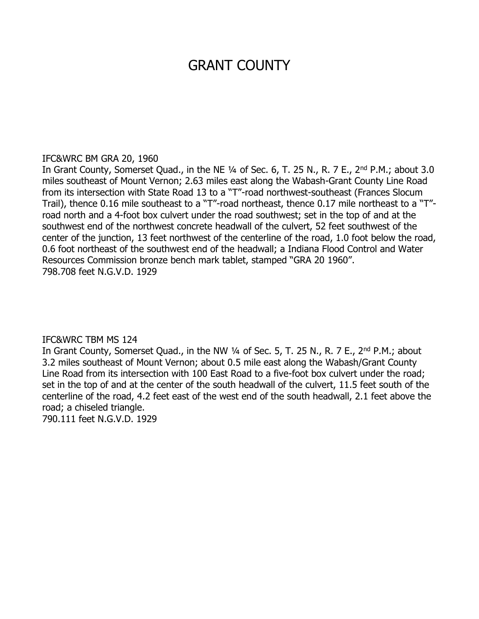# GRANT COUNTY

### IFC&WRC BM GRA 20, 1960

In Grant County, Somerset Quad., in the NE 1/4 of Sec. 6, T. 25 N., R. 7 E., 2<sup>nd</sup> P.M.; about 3.0 miles southeast of Mount Vernon; 2.63 miles east along the Wabash-Grant County Line Road from its intersection with State Road 13 to a "T"-road northwest-southeast (Frances Slocum Trail), thence 0.16 mile southeast to a "T"-road northeast, thence 0.17 mile northeast to a "T" road north and a 4-foot box culvert under the road southwest; set in the top of and at the southwest end of the northwest concrete headwall of the culvert, 52 feet southwest of the center of the junction, 13 feet northwest of the centerline of the road, 1.0 foot below the road, 0.6 foot northeast of the southwest end of the headwall; a Indiana Flood Control and Water Resources Commission bronze bench mark tablet, stamped "GRA 20 1960". 798.708 feet N.G.V.D. 1929

### IFC&WRC TBM MS 124

In Grant County, Somerset Quad., in the NW 1/4 of Sec. 5, T. 25 N., R. 7 E., 2<sup>nd</sup> P.M.; about 3.2 miles southeast of Mount Vernon; about 0.5 mile east along the Wabash/Grant County Line Road from its intersection with 100 East Road to a five-foot box culvert under the road; set in the top of and at the center of the south headwall of the culvert, 11.5 feet south of the centerline of the road, 4.2 feet east of the west end of the south headwall, 2.1 feet above the road; a chiseled triangle.

790.111 feet N.G.V.D. 1929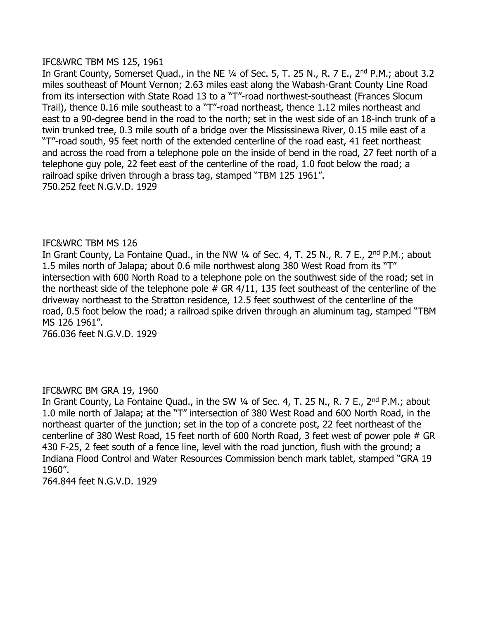#### IFC&WRC TBM MS 125, 1961

In Grant County, Somerset Quad., in the NE 1/4 of Sec. 5, T. 25 N., R. 7 E., 2<sup>nd</sup> P.M.; about 3.2 miles southeast of Mount Vernon; 2.63 miles east along the Wabash-Grant County Line Road from its intersection with State Road 13 to a "T"-road northwest-southeast (Frances Slocum Trail), thence 0.16 mile southeast to a "T"-road northeast, thence 1.12 miles northeast and east to a 90-degree bend in the road to the north; set in the west side of an 18-inch trunk of a twin trunked tree, 0.3 mile south of a bridge over the Mississinewa River, 0.15 mile east of a "T"-road south, 95 feet north of the extended centerline of the road east, 41 feet northeast and across the road from a telephone pole on the inside of bend in the road, 27 feet north of a telephone guy pole, 22 feet east of the centerline of the road, 1.0 foot below the road; a railroad spike driven through a brass tag, stamped "TBM 125 1961". 750.252 feet N.G.V.D. 1929

### IFC&WRC TBM MS 126

In Grant County, La Fontaine Quad., in the NW 1/4 of Sec. 4, T. 25 N., R. 7 E., 2<sup>nd</sup> P.M.; about 1.5 miles north of Jalapa; about 0.6 mile northwest along 380 West Road from its "T" intersection with 600 North Road to a telephone pole on the southwest side of the road; set in the northeast side of the telephone pole  $#$  GR  $4/11$ , 135 feet southeast of the centerline of the driveway northeast to the Stratton residence, 12.5 feet southwest of the centerline of the road, 0.5 foot below the road; a railroad spike driven through an aluminum tag, stamped "TBM MS 126 1961".

766.036 feet N.G.V.D. 1929

### IFC&WRC BM GRA 19, 1960

In Grant County, La Fontaine Quad., in the SW 1/4 of Sec. 4, T. 25 N., R. 7 E., 2<sup>nd</sup> P.M.; about 1.0 mile north of Jalapa; at the "T" intersection of 380 West Road and 600 North Road, in the northeast quarter of the junction; set in the top of a concrete post, 22 feet northeast of the centerline of 380 West Road, 15 feet north of 600 North Road, 3 feet west of power pole # GR 430 F-25, 2 feet south of a fence line, level with the road junction, flush with the ground; a Indiana Flood Control and Water Resources Commission bench mark tablet, stamped "GRA 19 1960".

764.844 feet N.G.V.D. 1929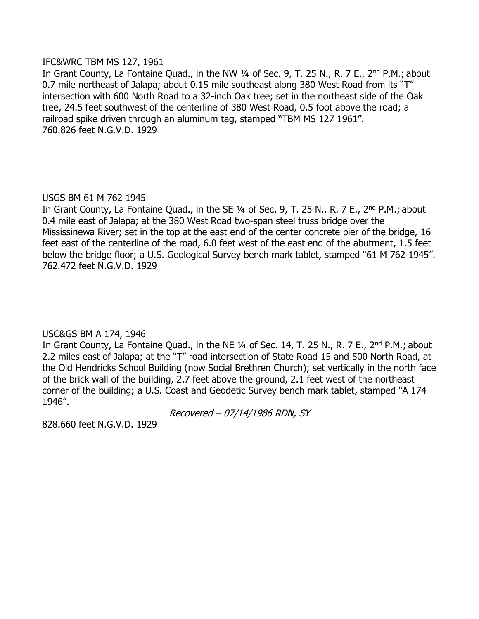#### IFC&WRC TBM MS 127, 1961

In Grant County, La Fontaine Quad., in the NW 1/4 of Sec. 9, T. 25 N., R. 7 E., 2<sup>nd</sup> P.M.; about 0.7 mile northeast of Jalapa; about 0.15 mile southeast along 380 West Road from its "T" intersection with 600 North Road to a 32-inch Oak tree; set in the northeast side of the Oak tree, 24.5 feet southwest of the centerline of 380 West Road, 0.5 foot above the road; a railroad spike driven through an aluminum tag, stamped "TBM MS 127 1961". 760.826 feet N.G.V.D. 1929

# USGS BM 61 M 762 1945

In Grant County, La Fontaine Quad., in the SE 1/4 of Sec. 9, T. 25 N., R. 7 E., 2<sup>nd</sup> P.M.; about 0.4 mile east of Jalapa; at the 380 West Road two-span steel truss bridge over the Mississinewa River; set in the top at the east end of the center concrete pier of the bridge, 16 feet east of the centerline of the road, 6.0 feet west of the east end of the abutment, 1.5 feet below the bridge floor; a U.S. Geological Survey bench mark tablet, stamped "61 M 762 1945". 762.472 feet N.G.V.D. 1929

# USC&GS BM A 174, 1946

In Grant County, La Fontaine Quad., in the NE 1/4 of Sec. 14, T. 25 N., R. 7 E., 2<sup>nd</sup> P.M.; about 2.2 miles east of Jalapa; at the "T" road intersection of State Road 15 and 500 North Road, at the Old Hendricks School Building (now Social Brethren Church); set vertically in the north face of the brick wall of the building, 2.7 feet above the ground, 2.1 feet west of the northeast corner of the building; a U.S. Coast and Geodetic Survey bench mark tablet, stamped "A 174 1946".

Recovered – 07/14/1986 RDN, SY

828.660 feet N.G.V.D. 1929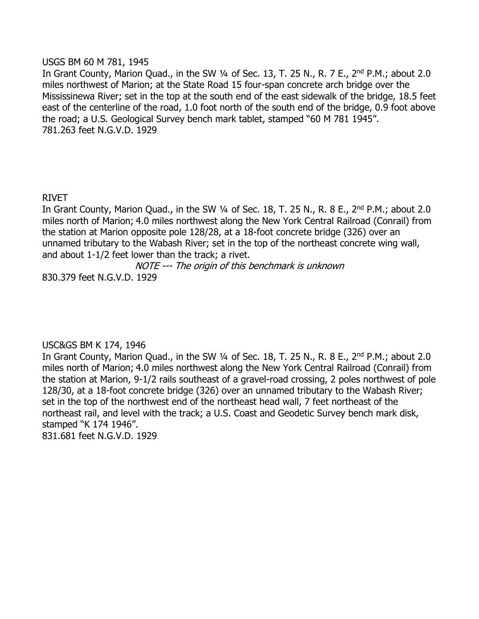#### USGS BM 60 M 781, 1945

In Grant County, Marion Quad., in the SW 1/4 of Sec. 13, T. 25 N., R. 7 E., 2<sup>nd</sup> P.M.; about 2.0 miles northwest of Marion; at the State Road 15 four-span concrete arch bridge over the Mississinewa River; set in the top at the south end of the east sidewalk of the bridge, 18.5 feet east of the centerline of the road, 1.0 foot north of the south end of the bridge, 0.9 foot above the road; a U.S. Geological Survey bench mark tablet, stamped "60 M 781 1945". 781.263 feet N.G.V.D. 1929

# RIVET

In Grant County, Marion Quad., in the SW  $\frac{1}{4}$  of Sec. 18, T. 25 N., R. 8 E., 2<sup>nd</sup> P.M.; about 2.0 miles north of Marion; 4.0 miles northwest along the New York Central Railroad (Conrail) from the station at Marion opposite pole 128/28, at a 18-foot concrete bridge (326) over an unnamed tributary to the Wabash River; set in the top of the northeast concrete wing wall, and about 1-1/2 feet lower than the track; a rivet.

NOTE --- The origin of this benchmark is unknown

830.379 feet N.G.V.D. 1929

### USC&GS BM K 174, 1946

In Grant County, Marion Quad., in the SW  $\frac{1}{4}$  of Sec. 18, T. 25 N., R. 8 E., 2<sup>nd</sup> P.M.; about 2.0 miles north of Marion; 4.0 miles northwest along the New York Central Railroad (Conrail) from the station at Marion, 9-1/2 rails southeast of a gravel-road crossing, 2 poles northwest of pole 128/30, at a 18-foot concrete bridge (326) over an unnamed tributary to the Wabash River; set in the top of the northwest end of the northeast head wall, 7 feet northeast of the northeast rail, and level with the track; a U.S. Coast and Geodetic Survey bench mark disk, stamped "K 174 1946". 831.681 feet N.G.V.D. 1929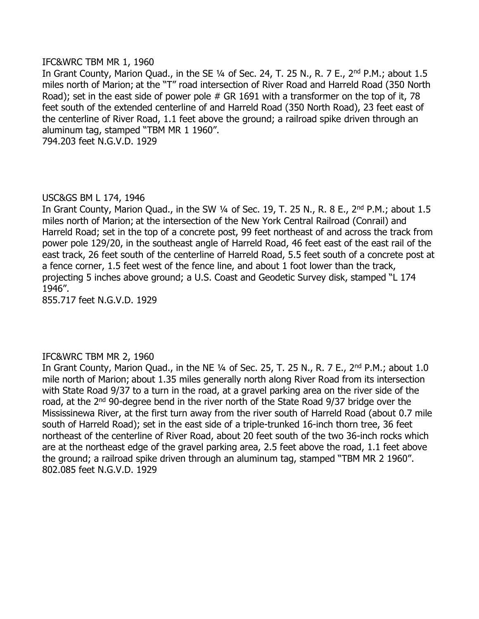#### IFC&WRC TBM MR 1, 1960

In Grant County, Marion Quad., in the SE 1/4 of Sec. 24, T. 25 N., R. 7 E., 2<sup>nd</sup> P.M.; about 1.5 miles north of Marion; at the "T" road intersection of River Road and Harreld Road (350 North Road); set in the east side of power pole  $#$  GR 1691 with a transformer on the top of it, 78 feet south of the extended centerline of and Harreld Road (350 North Road), 23 feet east of the centerline of River Road, 1.1 feet above the ground; a railroad spike driven through an aluminum tag, stamped "TBM MR 1 1960".

794.203 feet N.G.V.D. 1929

### USC&GS BM L 174, 1946

In Grant County, Marion Quad., in the SW  $\frac{1}{4}$  of Sec. 19, T. 25 N., R. 8 E., 2<sup>nd</sup> P.M.; about 1.5 miles north of Marion; at the intersection of the New York Central Railroad (Conrail) and Harreld Road; set in the top of a concrete post, 99 feet northeast of and across the track from power pole 129/20, in the southeast angle of Harreld Road, 46 feet east of the east rail of the east track, 26 feet south of the centerline of Harreld Road, 5.5 feet south of a concrete post at a fence corner, 1.5 feet west of the fence line, and about 1 foot lower than the track, projecting 5 inches above ground; a U.S. Coast and Geodetic Survey disk, stamped "L 174 1946".

855.717 feet N.G.V.D. 1929

### IFC&WRC TBM MR 2, 1960

In Grant County, Marion Quad., in the NE  $\frac{1}{4}$  of Sec. 25, T. 25 N., R. 7 E., 2<sup>nd</sup> P.M.; about 1.0 mile north of Marion; about 1.35 miles generally north along River Road from its intersection with State Road 9/37 to a turn in the road, at a gravel parking area on the river side of the road, at the 2<sup>nd</sup> 90-degree bend in the river north of the State Road 9/37 bridge over the Mississinewa River, at the first turn away from the river south of Harreld Road (about 0.7 mile south of Harreld Road); set in the east side of a triple-trunked 16-inch thorn tree, 36 feet northeast of the centerline of River Road, about 20 feet south of the two 36-inch rocks which are at the northeast edge of the gravel parking area, 2.5 feet above the road, 1.1 feet above the ground; a railroad spike driven through an aluminum tag, stamped "TBM MR 2 1960". 802.085 feet N.G.V.D. 1929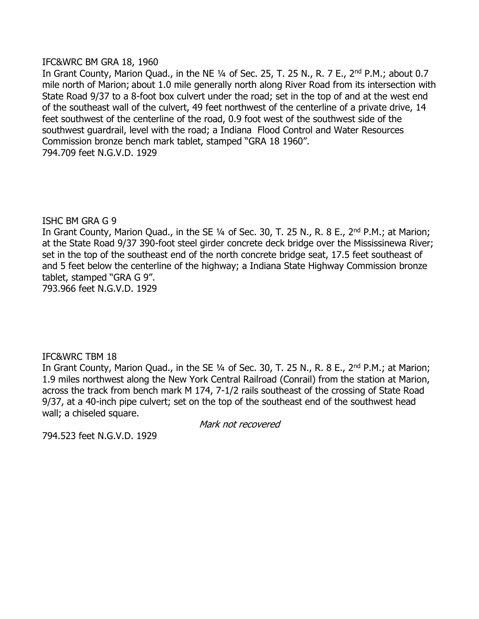#### IFC&WRC BM GRA 18, 1960

In Grant County, Marion Quad., in the NE 1/4 of Sec. 25, T. 25 N., R. 7 E., 2<sup>nd</sup> P.M.; about 0.7 mile north of Marion; about 1.0 mile generally north along River Road from its intersection with State Road 9/37 to a 8-foot box culvert under the road; set in the top of and at the west end of the southeast wall of the culvert, 49 feet northwest of the centerline of a private drive, 14 feet southwest of the centerline of the road, 0.9 foot west of the southwest side of the southwest guardrail, level with the road; a Indiana Flood Control and Water Resources Commission bronze bench mark tablet, stamped "GRA 18 1960". 794.709 feet N.G.V.D. 1929

### ISHC BM GRA G 9

In Grant County, Marion Quad., in the SE 1/4 of Sec. 30, T. 25 N., R. 8 E., 2<sup>nd</sup> P.M.; at Marion; at the State Road 9/37 390-foot steel girder concrete deck bridge over the Mississinewa River; set in the top of the southeast end of the north concrete bridge seat, 17.5 feet southeast of and 5 feet below the centerline of the highway; a Indiana State Highway Commission bronze tablet, stamped "GRA G 9". 793.966 feet N.G.V.D. 1929

### IFC&WRC TBM 18

In Grant County, Marion Quad., in the SE 1/4 of Sec. 30, T. 25 N., R. 8 E., 2<sup>nd</sup> P.M.; at Marion; 1.9 miles northwest along the New York Central Railroad (Conrail) from the station at Marion, across the track from bench mark M 174, 7-1/2 rails southeast of the crossing of State Road 9/37, at a 40-inch pipe culvert; set on the top of the southeast end of the southwest head wall; a chiseled square.

Mark not recovered

794.523 feet N.G.V.D. 1929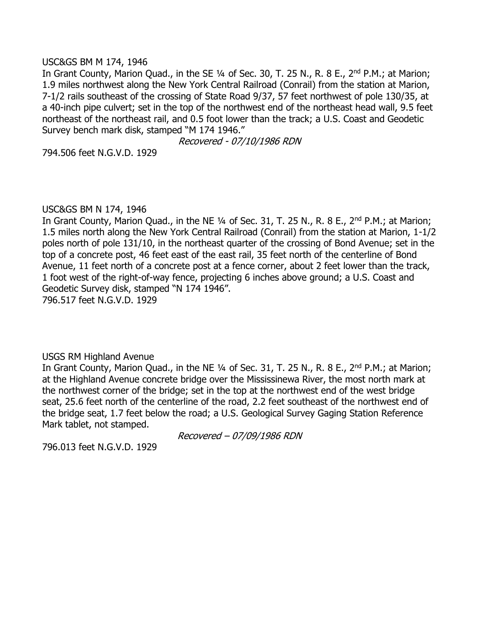#### USC&GS BM M 174, 1946

In Grant County, Marion Quad., in the SE 1/4 of Sec. 30, T. 25 N., R. 8 E., 2<sup>nd</sup> P.M.; at Marion; 1.9 miles northwest along the New York Central Railroad (Conrail) from the station at Marion, 7-1/2 rails southeast of the crossing of State Road 9/37, 57 feet northwest of pole 130/35, at a 40-inch pipe culvert; set in the top of the northwest end of the northeast head wall, 9.5 feet northeast of the northeast rail, and 0.5 foot lower than the track; a U.S. Coast and Geodetic Survey bench mark disk, stamped "M 174 1946."

Recovered - 07/10/1986 RDN

794.506 feet N.G.V.D. 1929

### USC&GS BM N 174, 1946

In Grant County, Marion Quad., in the NE 1/4 of Sec. 31, T. 25 N., R. 8 E., 2<sup>nd</sup> P.M.; at Marion; 1.5 miles north along the New York Central Railroad (Conrail) from the station at Marion, 1-1/2 poles north of pole 131/10, in the northeast quarter of the crossing of Bond Avenue; set in the top of a concrete post, 46 feet east of the east rail, 35 feet north of the centerline of Bond Avenue, 11 feet north of a concrete post at a fence corner, about 2 feet lower than the track, 1 foot west of the right-of-way fence, projecting 6 inches above ground; a U.S. Coast and Geodetic Survey disk, stamped "N 174 1946".

796.517 feet N.G.V.D. 1929

### USGS RM Highland Avenue

In Grant County, Marion Quad., in the NE 1/4 of Sec. 31, T. 25 N., R. 8 E., 2<sup>nd</sup> P.M.; at Marion; at the Highland Avenue concrete bridge over the Mississinewa River, the most north mark at the northwest corner of the bridge; set in the top at the northwest end of the west bridge seat, 25.6 feet north of the centerline of the road, 2.2 feet southeast of the northwest end of the bridge seat, 1.7 feet below the road; a U.S. Geological Survey Gaging Station Reference Mark tablet, not stamped.

Recovered – 07/09/1986 RDN

796.013 feet N.G.V.D. 1929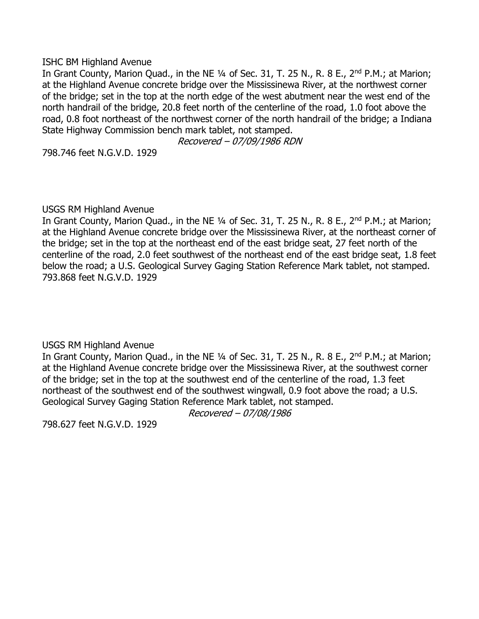ISHC BM Highland Avenue

In Grant County, Marion Quad., in the NE 1/4 of Sec. 31, T. 25 N., R. 8 E., 2<sup>nd</sup> P.M.; at Marion; at the Highland Avenue concrete bridge over the Mississinewa River, at the northwest corner of the bridge; set in the top at the north edge of the west abutment near the west end of the north handrail of the bridge, 20.8 feet north of the centerline of the road, 1.0 foot above the road, 0.8 foot northeast of the northwest corner of the north handrail of the bridge; a Indiana State Highway Commission bench mark tablet, not stamped.

Recovered – 07/09/1986 RDN

798.746 feet N.G.V.D. 1929

### USGS RM Highland Avenue

In Grant County, Marion Quad., in the NE 1/4 of Sec. 31, T. 25 N., R. 8 E., 2<sup>nd</sup> P.M.; at Marion; at the Highland Avenue concrete bridge over the Mississinewa River, at the northeast corner of the bridge; set in the top at the northeast end of the east bridge seat, 27 feet north of the centerline of the road, 2.0 feet southwest of the northeast end of the east bridge seat, 1.8 feet below the road; a U.S. Geological Survey Gaging Station Reference Mark tablet, not stamped. 793.868 feet N.G.V.D. 1929

USGS RM Highland Avenue

In Grant County, Marion Quad., in the NE 1/4 of Sec. 31, T. 25 N., R. 8 E., 2<sup>nd</sup> P.M.; at Marion; at the Highland Avenue concrete bridge over the Mississinewa River, at the southwest corner of the bridge; set in the top at the southwest end of the centerline of the road, 1.3 feet northeast of the southwest end of the southwest wingwall, 0.9 foot above the road; a U.S. Geological Survey Gaging Station Reference Mark tablet, not stamped.

Recovered – 07/08/1986

798.627 feet N.G.V.D. 1929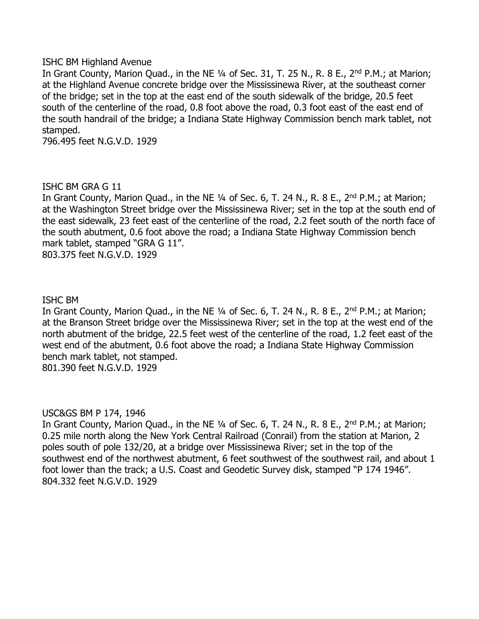#### ISHC BM Highland Avenue

In Grant County, Marion Quad., in the NE 1/4 of Sec. 31, T. 25 N., R. 8 E., 2<sup>nd</sup> P.M.; at Marion; at the Highland Avenue concrete bridge over the Mississinewa River, at the southeast corner of the bridge; set in the top at the east end of the south sidewalk of the bridge, 20.5 feet south of the centerline of the road, 0.8 foot above the road, 0.3 foot east of the east end of the south handrail of the bridge; a Indiana State Highway Commission bench mark tablet, not stamped.

796.495 feet N.G.V.D. 1929

#### ISHC BM GRA G 11

In Grant County, Marion Quad., in the NE 1/4 of Sec. 6, T. 24 N., R. 8 E., 2<sup>nd</sup> P.M.; at Marion; at the Washington Street bridge over the Mississinewa River; set in the top at the south end of the east sidewalk, 23 feet east of the centerline of the road, 2.2 feet south of the north face of the south abutment, 0.6 foot above the road; a Indiana State Highway Commission bench mark tablet, stamped "GRA G 11". 803.375 feet N.G.V.D. 1929

#### ISHC BM

In Grant County, Marion Quad., in the NE  $\frac{1}{4}$  of Sec. 6, T. 24 N., R. 8 E., 2<sup>nd</sup> P.M.; at Marion; at the Branson Street bridge over the Mississinewa River; set in the top at the west end of the north abutment of the bridge, 22.5 feet west of the centerline of the road, 1.2 feet east of the west end of the abutment, 0.6 foot above the road; a Indiana State Highway Commission bench mark tablet, not stamped. 801.390 feet N.G.V.D. 1929

### USC&GS BM P 174, 1946

In Grant County, Marion Quad., in the NE  $\frac{1}{4}$  of Sec. 6, T. 24 N., R. 8 E., 2<sup>nd</sup> P.M.; at Marion; 0.25 mile north along the New York Central Railroad (Conrail) from the station at Marion, 2 poles south of pole 132/20, at a bridge over Mississinewa River; set in the top of the southwest end of the northwest abutment, 6 feet southwest of the southwest rail, and about 1 foot lower than the track; a U.S. Coast and Geodetic Survey disk, stamped "P 174 1946". 804.332 feet N.G.V.D. 1929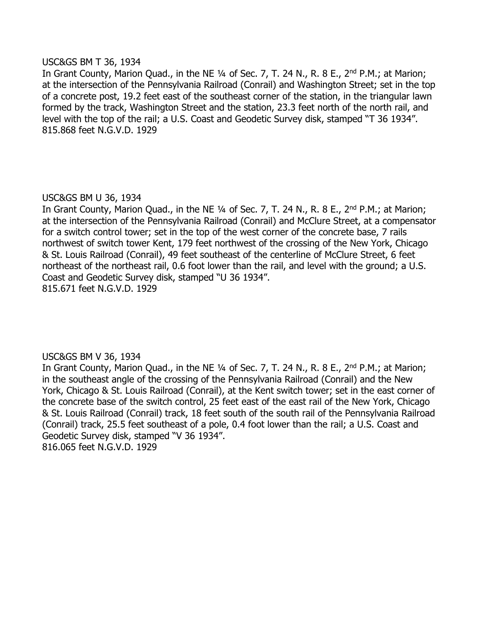#### USC&GS BM T 36, 1934

In Grant County, Marion Quad., in the NE 1/4 of Sec. 7, T. 24 N., R. 8 E., 2<sup>nd</sup> P.M.; at Marion; at the intersection of the Pennsylvania Railroad (Conrail) and Washington Street; set in the top of a concrete post, 19.2 feet east of the southeast corner of the station, in the triangular lawn formed by the track, Washington Street and the station, 23.3 feet north of the north rail, and level with the top of the rail; a U.S. Coast and Geodetic Survey disk, stamped "T 36 1934". 815.868 feet N.G.V.D. 1929

# USC&GS BM U 36, 1934

In Grant County, Marion Quad., in the NE 1/4 of Sec. 7, T. 24 N., R. 8 E., 2<sup>nd</sup> P.M.; at Marion; at the intersection of the Pennsylvania Railroad (Conrail) and McClure Street, at a compensator for a switch control tower; set in the top of the west corner of the concrete base, 7 rails northwest of switch tower Kent, 179 feet northwest of the crossing of the New York, Chicago & St. Louis Railroad (Conrail), 49 feet southeast of the centerline of McClure Street, 6 feet northeast of the northeast rail, 0.6 foot lower than the rail, and level with the ground; a U.S. Coast and Geodetic Survey disk, stamped "U 36 1934". 815.671 feet N.G.V.D. 1929

### USC&GS BM V 36, 1934

In Grant County, Marion Quad., in the NE 1/4 of Sec. 7, T. 24 N., R. 8 E., 2<sup>nd</sup> P.M.; at Marion; in the southeast angle of the crossing of the Pennsylvania Railroad (Conrail) and the New York, Chicago & St. Louis Railroad (Conrail), at the Kent switch tower; set in the east corner of the concrete base of the switch control, 25 feet east of the east rail of the New York, Chicago & St. Louis Railroad (Conrail) track, 18 feet south of the south rail of the Pennsylvania Railroad (Conrail) track, 25.5 feet southeast of a pole, 0.4 foot lower than the rail; a U.S. Coast and Geodetic Survey disk, stamped "V 36 1934". 816.065 feet N.G.V.D. 1929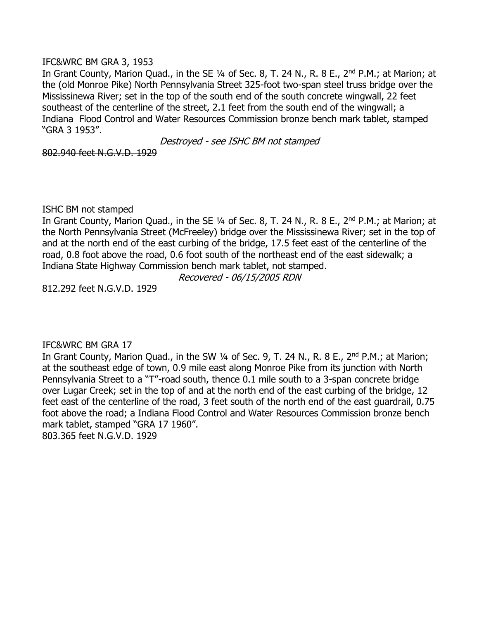#### IFC&WRC BM GRA 3, 1953

In Grant County, Marion Quad., in the SE 1/4 of Sec. 8, T. 24 N., R. 8 E., 2<sup>nd</sup> P.M.; at Marion; at the (old Monroe Pike) North Pennsylvania Street 325-foot two-span steel truss bridge over the Mississinewa River; set in the top of the south end of the south concrete wingwall, 22 feet southeast of the centerline of the street, 2.1 feet from the south end of the wingwall; a Indiana Flood Control and Water Resources Commission bronze bench mark tablet, stamped "GRA 3 1953".

Destroyed - see ISHC BM not stamped

802.940 feet N.G.V.D. 1929

ISHC BM not stamped

In Grant County, Marion Quad., in the SE 1/4 of Sec. 8, T. 24 N., R. 8 E., 2<sup>nd</sup> P.M.; at Marion; at the North Pennsylvania Street (McFreeley) bridge over the Mississinewa River; set in the top of and at the north end of the east curbing of the bridge, 17.5 feet east of the centerline of the road, 0.8 foot above the road, 0.6 foot south of the northeast end of the east sidewalk; a Indiana State Highway Commission bench mark tablet, not stamped.

Recovered - 06/15/2005 RDN

812.292 feet N.G.V.D. 1929

### IFC&WRC BM GRA 17

In Grant County, Marion Quad., in the SW ¼ of Sec. 9, T. 24 N., R. 8 E., 2<sup>nd</sup> P.M.; at Marion; at the southeast edge of town, 0.9 mile east along Monroe Pike from its junction with North Pennsylvania Street to a "T"-road south, thence 0.1 mile south to a 3-span concrete bridge over Lugar Creek; set in the top of and at the north end of the east curbing of the bridge, 12 feet east of the centerline of the road, 3 feet south of the north end of the east guardrail, 0.75 foot above the road; a Indiana Flood Control and Water Resources Commission bronze bench mark tablet, stamped "GRA 17 1960". 803.365 feet N.G.V.D. 1929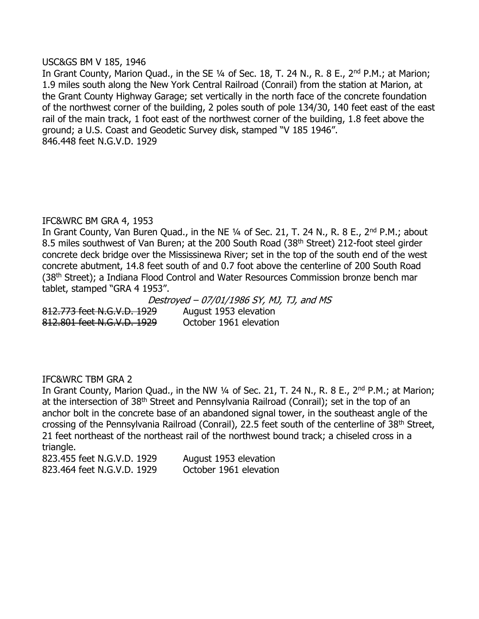#### USC&GS BM V 185, 1946

In Grant County, Marion Quad., in the SE 1/4 of Sec. 18, T. 24 N., R. 8 E., 2<sup>nd</sup> P.M.; at Marion; 1.9 miles south along the New York Central Railroad (Conrail) from the station at Marion, at the Grant County Highway Garage; set vertically in the north face of the concrete foundation of the northwest corner of the building, 2 poles south of pole 134/30, 140 feet east of the east rail of the main track, 1 foot east of the northwest corner of the building, 1.8 feet above the ground; a U.S. Coast and Geodetic Survey disk, stamped "V 185 1946". 846.448 feet N.G.V.D. 1929

# IFC&WRC BM GRA 4, 1953

In Grant County, Van Buren Quad., in the NE 1/4 of Sec. 21, T. 24 N., R. 8 E., 2<sup>nd</sup> P.M.; about 8.5 miles southwest of Van Buren; at the 200 South Road (38<sup>th</sup> Street) 212-foot steel girder concrete deck bridge over the Mississinewa River; set in the top of the south end of the west concrete abutment, 14.8 feet south of and 0.7 foot above the centerline of 200 South Road (38<sup>th</sup> Street); a Indiana Flood Control and Water Resources Commission bronze bench mar tablet, stamped "GRA 4 1953".

812.773 feet N.G.V.D. 1929 August 1953 elevation 812.801 feet N.G.V.D. 1929 October 1961 elevation

Destroyed – 07/01/1986 SY, MJ, TJ, and MS

### IFC&WRC TBM GRA 2

In Grant County, Marion Quad., in the NW  $\frac{1}{4}$  of Sec. 21, T. 24 N., R. 8 E., 2<sup>nd</sup> P.M.; at Marion; at the intersection of 38<sup>th</sup> Street and Pennsylvania Railroad (Conrail); set in the top of an anchor bolt in the concrete base of an abandoned signal tower, in the southeast angle of the crossing of the Pennsylvania Railroad (Conrail), 22.5 feet south of the centerline of 38th Street, 21 feet northeast of the northeast rail of the northwest bound track; a chiseled cross in a triangle.

823.455 feet N.G.V.D. 1929 August 1953 elevation 823.464 feet N.G.V.D. 1929 October 1961 elevation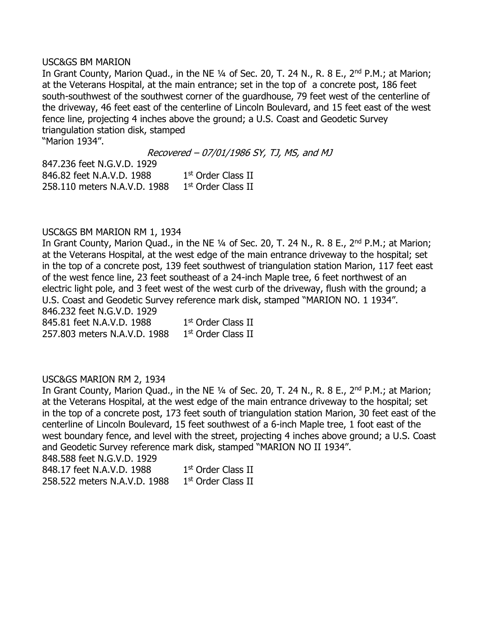#### USC&GS BM MARION

In Grant County, Marion Quad., in the NE 1/4 of Sec. 20, T. 24 N., R. 8 E., 2<sup>nd</sup> P.M.; at Marion; at the Veterans Hospital, at the main entrance; set in the top of a concrete post, 186 feet south-southwest of the southwest corner of the guardhouse, 79 feet west of the centerline of the driveway, 46 feet east of the centerline of Lincoln Boulevard, and 15 feet east of the west fence line, projecting 4 inches above the ground; a U.S. Coast and Geodetic Survey triangulation station disk, stamped "Marion 1934".

Recovered – 07/01/1986 SY, TJ, MS, and MJ

847.236 feet N.G.V.D. 1929 846.82 feet N.A.V.D. 1988 1  $1<sup>st</sup>$  Order Class II 258.110 meters N.A.V.D. 1988 1 1st Order Class II

### USC&GS BM MARION RM 1, 1934

In Grant County, Marion Quad., in the NE 1/4 of Sec. 20, T. 24 N., R. 8 E., 2<sup>nd</sup> P.M.; at Marion; at the Veterans Hospital, at the west edge of the main entrance driveway to the hospital; set in the top of a concrete post, 139 feet southwest of triangulation station Marion, 117 feet east of the west fence line, 23 feet southeast of a 24-inch Maple tree, 6 feet northwest of an electric light pole, and 3 feet west of the west curb of the driveway, flush with the ground; a U.S. Coast and Geodetic Survey reference mark disk, stamped "MARION NO. 1 1934". 846.232 feet N.G.V.D. 1929

845.81 feet N.A.V.D. 1988 1 1st Order Class II 257.803 meters N.A.V.D. 1988 1 1st Order Class II

### USC&GS MARION RM 2, 1934

In Grant County, Marion Quad., in the NE 1/4 of Sec. 20, T. 24 N., R. 8 E., 2<sup>nd</sup> P.M.; at Marion; at the Veterans Hospital, at the west edge of the main entrance driveway to the hospital; set in the top of a concrete post, 173 feet south of triangulation station Marion, 30 feet east of the centerline of Lincoln Boulevard, 15 feet southwest of a 6-inch Maple tree, 1 foot east of the west boundary fence, and level with the street, projecting 4 inches above ground; a U.S. Coast and Geodetic Survey reference mark disk, stamped "MARION NO II 1934".

848.588 feet N.G.V.D. 1929

| 848.17 feet N.A.V.D. 1988    | 1 <sup>st</sup> Order Class II |
|------------------------------|--------------------------------|
| 258.522 meters N.A.V.D. 1988 | 1 <sup>st</sup> Order Class II |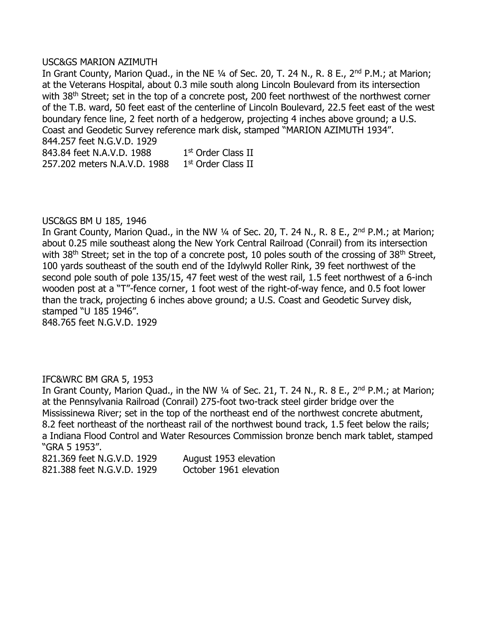#### USC&GS MARION AZIMUTH

In Grant County, Marion Quad., in the NE 1/4 of Sec. 20, T. 24 N., R. 8 E., 2<sup>nd</sup> P.M.; at Marion; at the Veterans Hospital, about 0.3 mile south along Lincoln Boulevard from its intersection with 38<sup>th</sup> Street; set in the top of a concrete post, 200 feet northwest of the northwest corner of the T.B. ward, 50 feet east of the centerline of Lincoln Boulevard, 22.5 feet east of the west boundary fence line, 2 feet north of a hedgerow, projecting 4 inches above ground; a U.S. Coast and Geodetic Survey reference mark disk, stamped "MARION AZIMUTH 1934". 844.257 feet N.G.V.D. 1929

843.84 feet N.A.V.D. 1988 1st Order Class II 257.202 meters N.A.V.D. 1988 1 1st Order Class II

#### USC&GS BM U 185, 1946

In Grant County, Marion Quad., in the NW 1/4 of Sec. 20, T. 24 N., R. 8 E., 2<sup>nd</sup> P.M.; at Marion; about 0.25 mile southeast along the New York Central Railroad (Conrail) from its intersection with 38<sup>th</sup> Street; set in the top of a concrete post, 10 poles south of the crossing of 38<sup>th</sup> Street, 100 yards southeast of the south end of the Idylwyld Roller Rink, 39 feet northwest of the second pole south of pole 135/15, 47 feet west of the west rail, 1.5 feet northwest of a 6-inch wooden post at a "T"-fence corner, 1 foot west of the right-of-way fence, and 0.5 foot lower than the track, projecting 6 inches above ground; a U.S. Coast and Geodetic Survey disk, stamped "U 185 1946". 848.765 feet N.G.V.D. 1929

### IFC&WRC BM GRA 5, 1953

In Grant County, Marion Quad., in the NW  $\frac{1}{4}$  of Sec. 21, T. 24 N., R. 8 E., 2<sup>nd</sup> P.M.; at Marion; at the Pennsylvania Railroad (Conrail) 275-foot two-track steel girder bridge over the Mississinewa River; set in the top of the northeast end of the northwest concrete abutment, 8.2 feet northeast of the northeast rail of the northwest bound track, 1.5 feet below the rails; a Indiana Flood Control and Water Resources Commission bronze bench mark tablet, stamped "GRA 5 1953".

821.369 feet N.G.V.D. 1929 August 1953 elevation 821.388 feet N.G.V.D. 1929 October 1961 elevation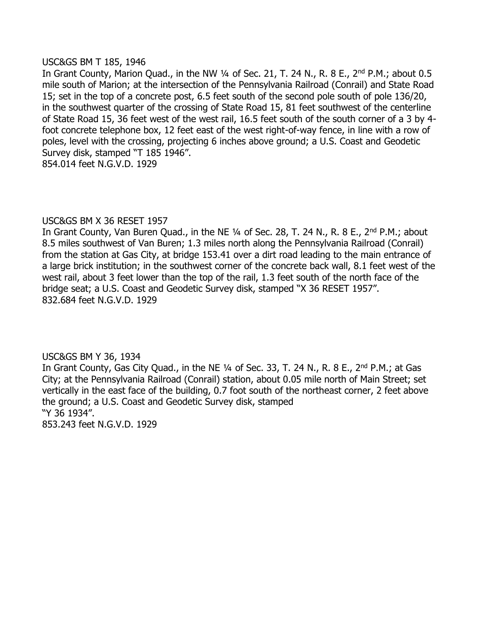#### USC&GS BM T 185, 1946

In Grant County, Marion Quad., in the NW  $\frac{1}{4}$  of Sec. 21, T. 24 N., R. 8 E., 2<sup>nd</sup> P.M.; about 0.5 mile south of Marion; at the intersection of the Pennsylvania Railroad (Conrail) and State Road 15; set in the top of a concrete post, 6.5 feet south of the second pole south of pole 136/20, in the southwest quarter of the crossing of State Road 15, 81 feet southwest of the centerline of State Road 15, 36 feet west of the west rail, 16.5 feet south of the south corner of a 3 by 4 foot concrete telephone box, 12 feet east of the west right-of-way fence, in line with a row of poles, level with the crossing, projecting 6 inches above ground; a U.S. Coast and Geodetic Survey disk, stamped "T 185 1946". 854.014 feet N.G.V.D. 1929

### USC&GS BM X 36 RESET 1957

In Grant County, Van Buren Quad., in the NE 1/4 of Sec. 28, T. 24 N., R. 8 E., 2<sup>nd</sup> P.M.; about 8.5 miles southwest of Van Buren; 1.3 miles north along the Pennsylvania Railroad (Conrail) from the station at Gas City, at bridge 153.41 over a dirt road leading to the main entrance of a large brick institution; in the southwest corner of the concrete back wall, 8.1 feet west of the west rail, about 3 feet lower than the top of the rail, 1.3 feet south of the north face of the bridge seat; a U.S. Coast and Geodetic Survey disk, stamped "X 36 RESET 1957". 832.684 feet N.G.V.D. 1929

### USC&GS BM Y 36, 1934

In Grant County, Gas City Quad., in the NE 1/4 of Sec. 33, T. 24 N., R. 8 E., 2<sup>nd</sup> P.M.; at Gas City; at the Pennsylvania Railroad (Conrail) station, about 0.05 mile north of Main Street; set vertically in the east face of the building, 0.7 foot south of the northeast corner, 2 feet above the ground; a U.S. Coast and Geodetic Survey disk, stamped "Y 36 1934".

853.243 feet N.G.V.D. 1929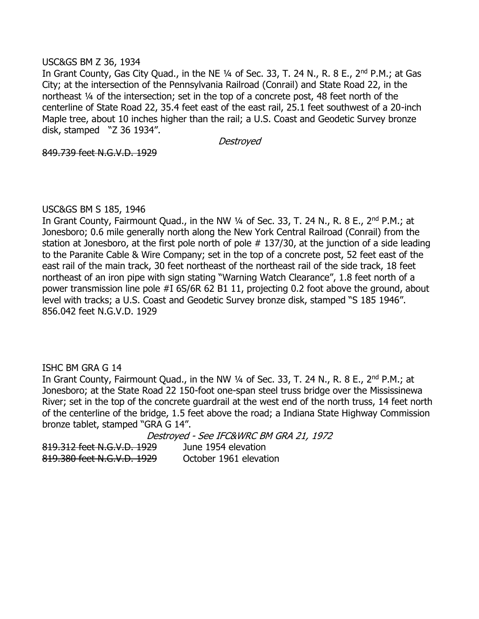#### USC&GS BM Z 36, 1934

In Grant County, Gas City Quad., in the NE 1/4 of Sec. 33, T. 24 N., R. 8 E., 2<sup>nd</sup> P.M.; at Gas City; at the intersection of the Pennsylvania Railroad (Conrail) and State Road 22, in the northeast ¼ of the intersection; set in the top of a concrete post, 48 feet north of the centerline of State Road 22, 35.4 feet east of the east rail, 25.1 feet southwest of a 20-inch Maple tree, about 10 inches higher than the rail; a U.S. Coast and Geodetic Survey bronze disk, stamped "Z 36 1934".

Destroyed

849.739 feet N.G.V.D. 1929

#### USC&GS BM S 185, 1946

In Grant County, Fairmount Quad., in the NW 1/4 of Sec. 33, T. 24 N., R. 8 E., 2<sup>nd</sup> P.M.; at Jonesboro; 0.6 mile generally north along the New York Central Railroad (Conrail) from the station at Jonesboro, at the first pole north of pole #137/30, at the junction of a side leading to the Paranite Cable & Wire Company; set in the top of a concrete post, 52 feet east of the east rail of the main track, 30 feet northeast of the northeast rail of the side track, 18 feet northeast of an iron pipe with sign stating "Warning Watch Clearance", 1.8 feet north of a power transmission line pole #I 6S/6R 62 B1 11, projecting 0.2 foot above the ground, about level with tracks; a U.S. Coast and Geodetic Survey bronze disk, stamped "S 185 1946". 856.042 feet N.G.V.D. 1929

### ISHC BM GRA G 14

In Grant County, Fairmount Quad., in the NW 1/4 of Sec. 33, T. 24 N., R. 8 E., 2<sup>nd</sup> P.M.; at Jonesboro; at the State Road 22 150-foot one-span steel truss bridge over the Mississinewa River; set in the top of the concrete guardrail at the west end of the north truss, 14 feet north of the centerline of the bridge, 1.5 feet above the road; a Indiana State Highway Commission bronze tablet, stamped "GRA G 14".

Destroyed - See IFC&WRC BM GRA 21, 1972 819.312 feet N.G.V.D. 1929 June 1954 elevation

819.380 feet N.G.V.D. 1929 October 1961 elevation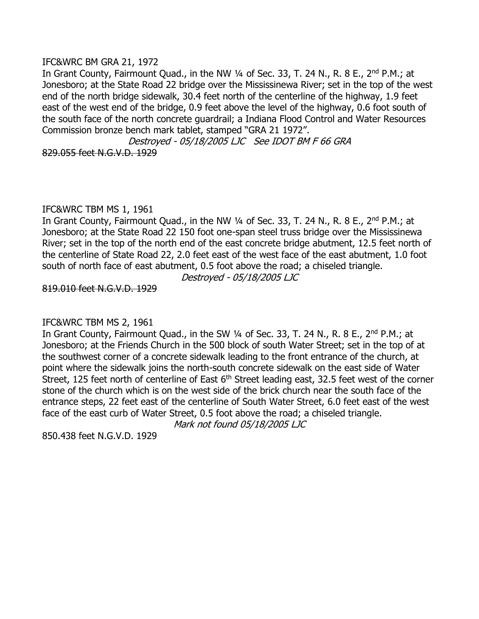#### IFC&WRC BM GRA 21, 1972

In Grant County, Fairmount Quad., in the NW 1/4 of Sec. 33, T. 24 N., R. 8 E., 2<sup>nd</sup> P.M.; at Jonesboro; at the State Road 22 bridge over the Mississinewa River; set in the top of the west end of the north bridge sidewalk, 30.4 feet north of the centerline of the highway, 1.9 feet east of the west end of the bridge, 0.9 feet above the level of the highway, 0.6 foot south of the south face of the north concrete guardrail; a Indiana Flood Control and Water Resources Commission bronze bench mark tablet, stamped "GRA 21 1972".

Destroyed - 05/18/2005 LJC See IDOT BM F 66 GRA 829.055 feet N.G.V.D. 1929

### IFC&WRC TBM MS 1, 1961

In Grant County, Fairmount Quad., in the NW 1/4 of Sec. 33, T. 24 N., R. 8 E., 2<sup>nd</sup> P.M.; at Jonesboro; at the State Road 22 150 foot one-span steel truss bridge over the Mississinewa River; set in the top of the north end of the east concrete bridge abutment, 12.5 feet north of the centerline of State Road 22, 2.0 feet east of the west face of the east abutment, 1.0 foot south of north face of east abutment, 0.5 foot above the road; a chiseled triangle.

Destroyed - 05/18/2005 LJC

819.010 feet N.G.V.D. 1929

### IFC&WRC TBM MS 2, 1961

In Grant County, Fairmount Quad., in the SW 1/4 of Sec. 33, T. 24 N., R. 8 E., 2<sup>nd</sup> P.M.; at Jonesboro; at the Friends Church in the 500 block of south Water Street; set in the top of at the southwest corner of a concrete sidewalk leading to the front entrance of the church, at point where the sidewalk joins the north-south concrete sidewalk on the east side of Water Street, 125 feet north of centerline of East  $6<sup>th</sup>$  Street leading east, 32.5 feet west of the corner stone of the church which is on the west side of the brick church near the south face of the entrance steps, 22 feet east of the centerline of South Water Street, 6.0 feet east of the west face of the east curb of Water Street, 0.5 foot above the road; a chiseled triangle.

Mark not found 05/18/2005 LJC

850.438 feet N.G.V.D. 1929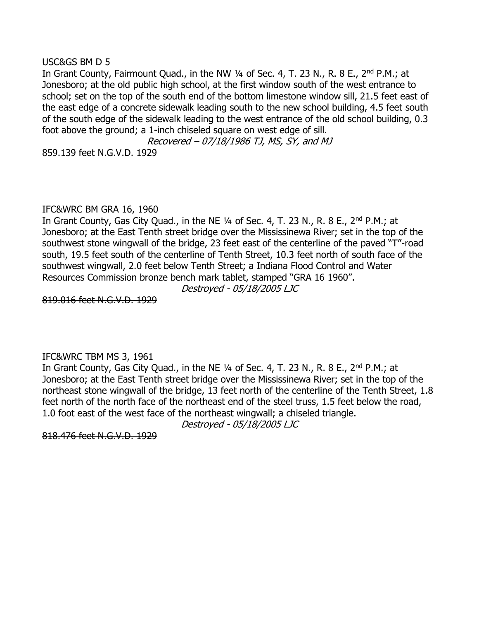#### USC&GS BM D 5

In Grant County, Fairmount Quad., in the NW 1/4 of Sec. 4, T. 23 N., R. 8 E., 2<sup>nd</sup> P.M.; at Jonesboro; at the old public high school, at the first window south of the west entrance to school; set on the top of the south end of the bottom limestone window sill, 21.5 feet east of the east edge of a concrete sidewalk leading south to the new school building, 4.5 feet south of the south edge of the sidewalk leading to the west entrance of the old school building, 0.3 foot above the ground; a 1-inch chiseled square on west edge of sill.

Recovered – 07/18/1986 TJ, MS, SY, and MJ 859.139 feet N.G.V.D. 1929

### IFC&WRC BM GRA 16, 1960

In Grant County, Gas City Quad., in the NE 1/4 of Sec. 4, T. 23 N., R. 8 E., 2<sup>nd</sup> P.M.; at Jonesboro; at the East Tenth street bridge over the Mississinewa River; set in the top of the southwest stone wingwall of the bridge, 23 feet east of the centerline of the paved "T"-road south, 19.5 feet south of the centerline of Tenth Street, 10.3 feet north of south face of the southwest wingwall, 2.0 feet below Tenth Street; a Indiana Flood Control and Water Resources Commission bronze bench mark tablet, stamped "GRA 16 1960".

Destroyed - 05/18/2005 LJC

819.016 feet N.G.V.D. 1929

### IFC&WRC TBM MS 3, 1961

In Grant County, Gas City Quad., in the NE 1/4 of Sec. 4, T. 23 N., R. 8 E., 2<sup>nd</sup> P.M.; at Jonesboro; at the East Tenth street bridge over the Mississinewa River; set in the top of the northeast stone wingwall of the bridge, 13 feet north of the centerline of the Tenth Street, 1.8 feet north of the north face of the northeast end of the steel truss, 1.5 feet below the road, 1.0 foot east of the west face of the northeast wingwall; a chiseled triangle.

Destroyed - 05/18/2005 LJC

818.476 feet N.G.V.D. 1929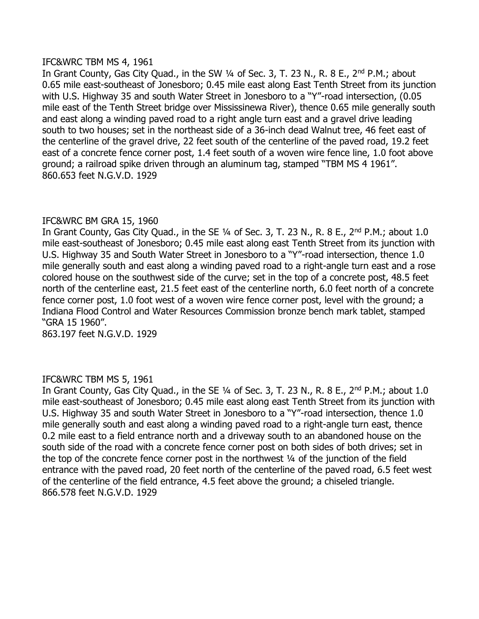#### IFC&WRC TBM MS 4, 1961

In Grant County, Gas City Quad., in the SW 1/4 of Sec. 3, T. 23 N., R. 8 E., 2<sup>nd</sup> P.M.; about 0.65 mile east-southeast of Jonesboro; 0.45 mile east along East Tenth Street from its junction with U.S. Highway 35 and south Water Street in Jonesboro to a "Y"-road intersection, (0.05 mile east of the Tenth Street bridge over Mississinewa River), thence 0.65 mile generally south and east along a winding paved road to a right angle turn east and a gravel drive leading south to two houses; set in the northeast side of a 36-inch dead Walnut tree, 46 feet east of the centerline of the gravel drive, 22 feet south of the centerline of the paved road, 19.2 feet east of a concrete fence corner post, 1.4 feet south of a woven wire fence line, 1.0 foot above ground; a railroad spike driven through an aluminum tag, stamped "TBM MS 4 1961". 860.653 feet N.G.V.D. 1929

### IFC&WRC BM GRA 15, 1960

In Grant County, Gas City Quad., in the SE 1/4 of Sec. 3, T. 23 N., R. 8 E., 2<sup>nd</sup> P.M.; about 1.0 mile east-southeast of Jonesboro; 0.45 mile east along east Tenth Street from its junction with U.S. Highway 35 and South Water Street in Jonesboro to a "Y"-road intersection, thence 1.0 mile generally south and east along a winding paved road to a right-angle turn east and a rose colored house on the southwest side of the curve; set in the top of a concrete post, 48.5 feet north of the centerline east, 21.5 feet east of the centerline north, 6.0 feet north of a concrete fence corner post, 1.0 foot west of a woven wire fence corner post, level with the ground; a Indiana Flood Control and Water Resources Commission bronze bench mark tablet, stamped "GRA 15 1960".

863.197 feet N.G.V.D. 1929

### IFC&WRC TBM MS 5, 1961

In Grant County, Gas City Quad., in the SE  $\frac{1}{4}$  of Sec. 3, T. 23 N., R. 8 E., 2<sup>nd</sup> P.M.; about 1.0 mile east-southeast of Jonesboro; 0.45 mile east along east Tenth Street from its junction with U.S. Highway 35 and south Water Street in Jonesboro to a "Y"-road intersection, thence 1.0 mile generally south and east along a winding paved road to a right-angle turn east, thence 0.2 mile east to a field entrance north and a driveway south to an abandoned house on the south side of the road with a concrete fence corner post on both sides of both drives; set in the top of the concrete fence corner post in the northwest ¼ of the junction of the field entrance with the paved road, 20 feet north of the centerline of the paved road, 6.5 feet west of the centerline of the field entrance, 4.5 feet above the ground; a chiseled triangle. 866.578 feet N.G.V.D. 1929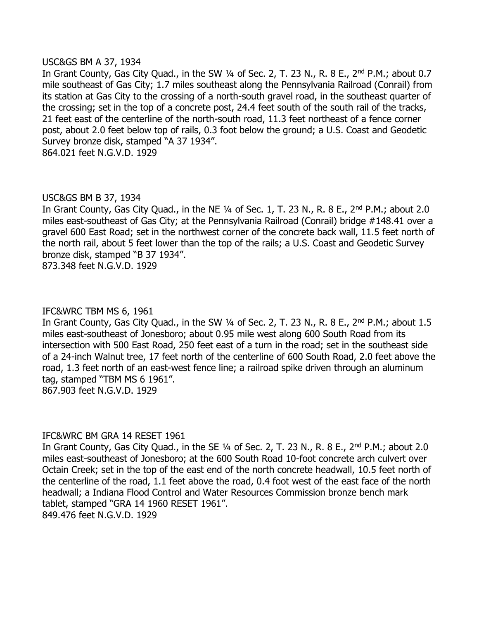#### USC&GS BM A 37, 1934

In Grant County, Gas City Quad., in the SW 1/4 of Sec. 2, T. 23 N., R. 8 E., 2<sup>nd</sup> P.M.; about 0.7 mile southeast of Gas City; 1.7 miles southeast along the Pennsylvania Railroad (Conrail) from its station at Gas City to the crossing of a north-south gravel road, in the southeast quarter of the crossing; set in the top of a concrete post, 24.4 feet south of the south rail of the tracks, 21 feet east of the centerline of the north-south road, 11.3 feet northeast of a fence corner post, about 2.0 feet below top of rails, 0.3 foot below the ground; a U.S. Coast and Geodetic Survey bronze disk, stamped "A 37 1934". 864.021 feet N.G.V.D. 1929

#### USC&GS BM B 37, 1934

In Grant County, Gas City Quad., in the NE  $\frac{1}{4}$  of Sec. 1, T. 23 N., R. 8 E., 2<sup>nd</sup> P.M.; about 2.0 miles east-southeast of Gas City; at the Pennsylvania Railroad (Conrail) bridge #148.41 over a gravel 600 East Road; set in the northwest corner of the concrete back wall, 11.5 feet north of the north rail, about 5 feet lower than the top of the rails; a U.S. Coast and Geodetic Survey bronze disk, stamped "B 37 1934".

873.348 feet N.G.V.D. 1929

#### IFC&WRC TBM MS 6, 1961

In Grant County, Gas City Quad., in the SW 1/4 of Sec. 2, T. 23 N., R. 8 E., 2<sup>nd</sup> P.M.; about 1.5 miles east-southeast of Jonesboro; about 0.95 mile west along 600 South Road from its intersection with 500 East Road, 250 feet east of a turn in the road; set in the southeast side of a 24-inch Walnut tree, 17 feet north of the centerline of 600 South Road, 2.0 feet above the road, 1.3 feet north of an east-west fence line; a railroad spike driven through an aluminum tag, stamped "TBM MS 6 1961". 867.903 feet N.G.V.D. 1929

#### IFC&WRC BM GRA 14 RESET 1961

In Grant County, Gas City Quad., in the SE 1/4 of Sec. 2, T. 23 N., R. 8 E., 2<sup>nd</sup> P.M.; about 2.0 miles east-southeast of Jonesboro; at the 600 South Road 10-foot concrete arch culvert over Octain Creek; set in the top of the east end of the north concrete headwall, 10.5 feet north of the centerline of the road, 1.1 feet above the road, 0.4 foot west of the east face of the north headwall; a Indiana Flood Control and Water Resources Commission bronze bench mark tablet, stamped "GRA 14 1960 RESET 1961". 849.476 feet N.G.V.D. 1929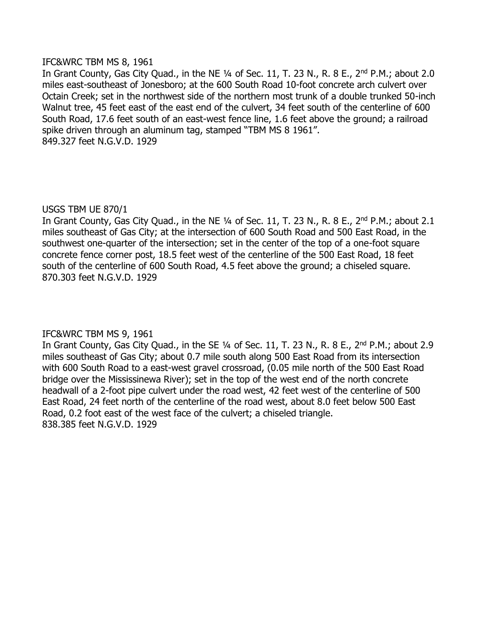#### IFC&WRC TBM MS 8, 1961

In Grant County, Gas City Quad., in the NE 1/4 of Sec. 11, T. 23 N., R. 8 E., 2<sup>nd</sup> P.M.; about 2.0 miles east-southeast of Jonesboro; at the 600 South Road 10-foot concrete arch culvert over Octain Creek; set in the northwest side of the northern most trunk of a double trunked 50-inch Walnut tree, 45 feet east of the east end of the culvert, 34 feet south of the centerline of 600 South Road, 17.6 feet south of an east-west fence line, 1.6 feet above the ground; a railroad spike driven through an aluminum tag, stamped "TBM MS 8 1961". 849.327 feet N.G.V.D. 1929

### USGS TBM UE 870/1

In Grant County, Gas City Quad., in the NE  $1/4$  of Sec. 11, T. 23 N., R. 8 E., 2<sup>nd</sup> P.M.; about 2.1 miles southeast of Gas City; at the intersection of 600 South Road and 500 East Road, in the southwest one-quarter of the intersection; set in the center of the top of a one-foot square concrete fence corner post, 18.5 feet west of the centerline of the 500 East Road, 18 feet south of the centerline of 600 South Road, 4.5 feet above the ground; a chiseled square. 870.303 feet N.G.V.D. 1929

# IFC&WRC TBM MS 9, 1961

In Grant County, Gas City Quad., in the SE 1/4 of Sec. 11, T. 23 N., R. 8 E., 2<sup>nd</sup> P.M.; about 2.9 miles southeast of Gas City; about 0.7 mile south along 500 East Road from its intersection with 600 South Road to a east-west gravel crossroad, (0.05 mile north of the 500 East Road bridge over the Mississinewa River); set in the top of the west end of the north concrete headwall of a 2-foot pipe culvert under the road west, 42 feet west of the centerline of 500 East Road, 24 feet north of the centerline of the road west, about 8.0 feet below 500 East Road, 0.2 foot east of the west face of the culvert; a chiseled triangle. 838.385 feet N.G.V.D. 1929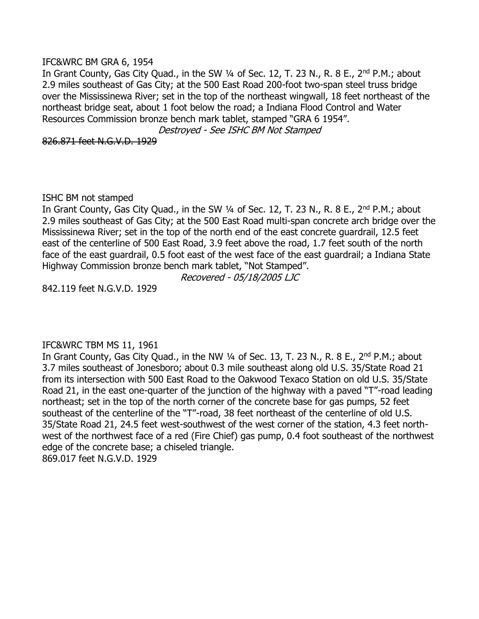#### IFC&WRC BM GRA 6, 1954

In Grant County, Gas City Quad., in the SW 1/4 of Sec. 12, T. 23 N., R. 8 E., 2<sup>nd</sup> P.M.; about 2.9 miles southeast of Gas City; at the 500 East Road 200-foot two-span steel truss bridge over the Mississinewa River; set in the top of the northeast wingwall, 18 feet northeast of the northeast bridge seat, about 1 foot below the road; a Indiana Flood Control and Water Resources Commission bronze bench mark tablet, stamped "GRA 6 1954".

Destroyed - See ISHC BM Not Stamped

826.871 feet N.G.V.D. 1929

ISHC BM not stamped

In Grant County, Gas City Quad., in the SW 1/4 of Sec. 12, T. 23 N., R. 8 E., 2<sup>nd</sup> P.M.; about 2.9 miles southeast of Gas City; at the 500 East Road multi-span concrete arch bridge over the Mississinewa River; set in the top of the north end of the east concrete guardrail, 12.5 feet east of the centerline of 500 East Road, 3.9 feet above the road, 1.7 feet south of the north face of the east guardrail, 0.5 foot east of the west face of the east guardrail; a Indiana State Highway Commission bronze bench mark tablet, "Not Stamped".

Recovered - 05/18/2005 LJC

842.119 feet N.G.V.D. 1929

### IFC&WRC TBM MS 11, 1961

In Grant County, Gas City Quad., in the NW 1/4 of Sec. 13, T. 23 N., R. 8 E., 2<sup>nd</sup> P.M.; about 3.7 miles southeast of Jonesboro; about 0.3 mile southeast along old U.S. 35/State Road 21 from its intersection with 500 East Road to the Oakwood Texaco Station on old U.S. 35/State Road 21, in the east one-quarter of the junction of the highway with a paved "T"-road leading northeast; set in the top of the north corner of the concrete base for gas pumps, 52 feet southeast of the centerline of the "T"-road, 38 feet northeast of the centerline of old U.S. 35/State Road 21, 24.5 feet west-southwest of the west corner of the station, 4.3 feet northwest of the northwest face of a red (Fire Chief) gas pump, 0.4 foot southeast of the northwest edge of the concrete base; a chiseled triangle. 869.017 feet N.G.V.D. 1929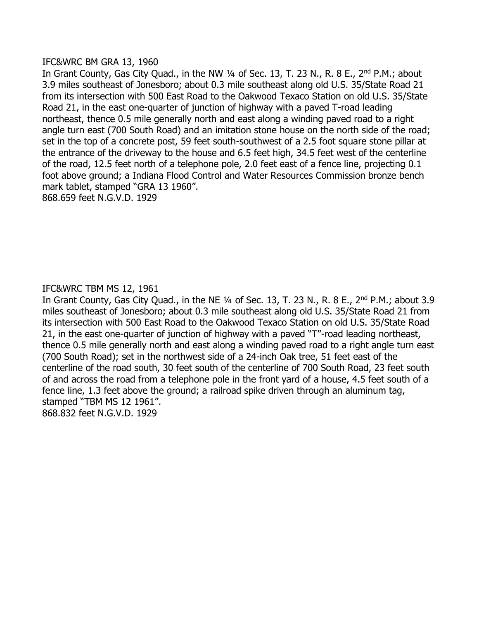#### IFC&WRC BM GRA 13, 1960

In Grant County, Gas City Quad., in the NW 1/4 of Sec. 13, T. 23 N., R. 8 E., 2<sup>nd</sup> P.M.; about 3.9 miles southeast of Jonesboro; about 0.3 mile southeast along old U.S. 35/State Road 21 from its intersection with 500 East Road to the Oakwood Texaco Station on old U.S. 35/State Road 21, in the east one-quarter of junction of highway with a paved T-road leading northeast, thence 0.5 mile generally north and east along a winding paved road to a right angle turn east (700 South Road) and an imitation stone house on the north side of the road; set in the top of a concrete post, 59 feet south-southwest of a 2.5 foot square stone pillar at the entrance of the driveway to the house and 6.5 feet high, 34.5 feet west of the centerline of the road, 12.5 feet north of a telephone pole, 2.0 feet east of a fence line, projecting 0.1 foot above ground; a Indiana Flood Control and Water Resources Commission bronze bench mark tablet, stamped "GRA 13 1960".

868.659 feet N.G.V.D. 1929

# IFC&WRC TBM MS 12, 1961

In Grant County, Gas City Quad., in the NE 1/4 of Sec. 13, T. 23 N., R. 8 E., 2<sup>nd</sup> P.M.; about 3.9 miles southeast of Jonesboro; about 0.3 mile southeast along old U.S. 35/State Road 21 from its intersection with 500 East Road to the Oakwood Texaco Station on old U.S. 35/State Road 21, in the east one-quarter of junction of highway with a paved "T"-road leading northeast, thence 0.5 mile generally north and east along a winding paved road to a right angle turn east (700 South Road); set in the northwest side of a 24-inch Oak tree, 51 feet east of the centerline of the road south, 30 feet south of the centerline of 700 South Road, 23 feet south of and across the road from a telephone pole in the front yard of a house, 4.5 feet south of a fence line, 1.3 feet above the ground; a railroad spike driven through an aluminum tag, stamped "TBM MS 12 1961". 868.832 feet N.G.V.D. 1929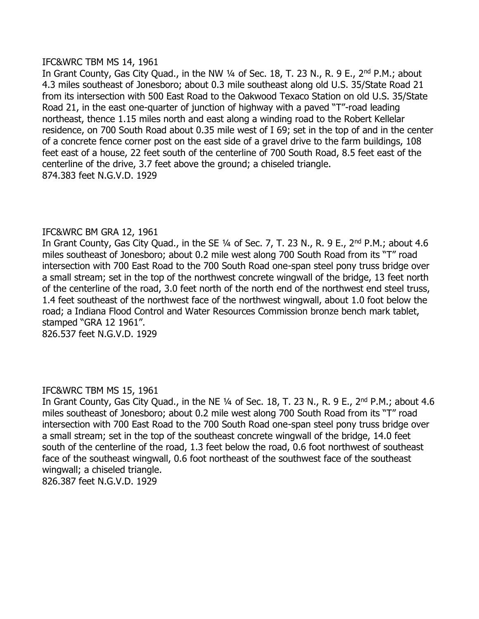#### IFC&WRC TBM MS 14, 1961

In Grant County, Gas City Quad., in the NW 1/4 of Sec. 18, T. 23 N., R. 9 E., 2<sup>nd</sup> P.M.; about 4.3 miles southeast of Jonesboro; about 0.3 mile southeast along old U.S. 35/State Road 21 from its intersection with 500 East Road to the Oakwood Texaco Station on old U.S. 35/State Road 21, in the east one-quarter of junction of highway with a paved "T"-road leading northeast, thence 1.15 miles north and east along a winding road to the Robert Kellelar residence, on 700 South Road about 0.35 mile west of I 69; set in the top of and in the center of a concrete fence corner post on the east side of a gravel drive to the farm buildings, 108 feet east of a house, 22 feet south of the centerline of 700 South Road, 8.5 feet east of the centerline of the drive, 3.7 feet above the ground; a chiseled triangle. 874.383 feet N.G.V.D. 1929

# IFC&WRC BM GRA 12, 1961

In Grant County, Gas City Quad., in the SE 1/4 of Sec. 7, T. 23 N., R. 9 E., 2<sup>nd</sup> P.M.; about 4.6 miles southeast of Jonesboro; about 0.2 mile west along 700 South Road from its "T" road intersection with 700 East Road to the 700 South Road one-span steel pony truss bridge over a small stream; set in the top of the northwest concrete wingwall of the bridge, 13 feet north of the centerline of the road, 3.0 feet north of the north end of the northwest end steel truss, 1.4 feet southeast of the northwest face of the northwest wingwall, about 1.0 foot below the road; a Indiana Flood Control and Water Resources Commission bronze bench mark tablet, stamped "GRA 12 1961".

# 826.537 feet N.G.V.D. 1929

### IFC&WRC TBM MS 15, 1961

In Grant County, Gas City Quad., in the NE 1/4 of Sec. 18, T. 23 N., R. 9 E., 2<sup>nd</sup> P.M.; about 4.6 miles southeast of Jonesboro; about 0.2 mile west along 700 South Road from its "T" road intersection with 700 East Road to the 700 South Road one-span steel pony truss bridge over a small stream; set in the top of the southeast concrete wingwall of the bridge, 14.0 feet south of the centerline of the road, 1.3 feet below the road, 0.6 foot northwest of southeast face of the southeast wingwall, 0.6 foot northeast of the southwest face of the southeast wingwall; a chiseled triangle. 826.387 feet N.G.V.D. 1929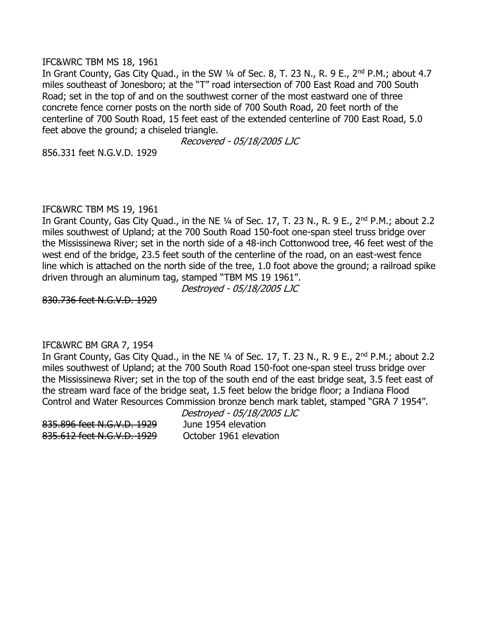#### IFC&WRC TBM MS 18, 1961

In Grant County, Gas City Quad., in the SW 1/4 of Sec. 8, T. 23 N., R. 9 E., 2<sup>nd</sup> P.M.; about 4.7 miles southeast of Jonesboro; at the "T" road intersection of 700 East Road and 700 South Road; set in the top of and on the southwest corner of the most eastward one of three concrete fence corner posts on the north side of 700 South Road, 20 feet north of the centerline of 700 South Road, 15 feet east of the extended centerline of 700 East Road, 5.0 feet above the ground; a chiseled triangle.

Recovered - 05/18/2005 LJC

856.331 feet N.G.V.D. 1929

#### IFC&WRC TBM MS 19, 1961

In Grant County, Gas City Quad., in the NE 1/4 of Sec. 17, T. 23 N., R. 9 E., 2<sup>nd</sup> P.M.; about 2.2 miles southwest of Upland; at the 700 South Road 150-foot one-span steel truss bridge over the Mississinewa River; set in the north side of a 48-inch Cottonwood tree, 46 feet west of the west end of the bridge, 23.5 feet south of the centerline of the road, on an east-west fence line which is attached on the north side of the tree, 1.0 foot above the ground; a railroad spike driven through an aluminum tag, stamped "TBM MS 19 1961".

Destroyed - 05/18/2005 LJC

830.736 feet N.G.V.D. 1929

### IFC&WRC BM GRA 7, 1954

In Grant County, Gas City Quad., in the NE 1/4 of Sec. 17, T. 23 N., R. 9 E., 2<sup>nd</sup> P.M.; about 2.2 miles southwest of Upland; at the 700 South Road 150-foot one-span steel truss bridge over the Mississinewa River; set in the top of the south end of the east bridge seat, 3.5 feet east of the stream ward face of the bridge seat, 1.5 feet below the bridge floor; a Indiana Flood Control and Water Resources Commission bronze bench mark tablet, stamped "GRA 7 1954".

Destroyed - 05/18/2005 LJC

835.612 feet N.G.V.D. 1929 October 1961 elevation

835.896 feet N.G.V.D. 1929 June 1954 elevation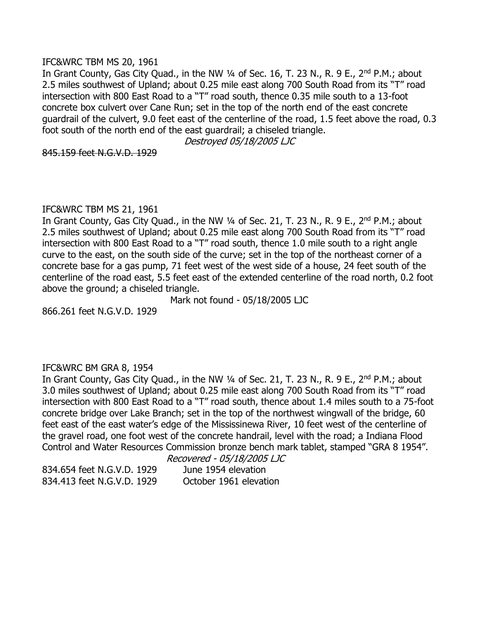#### IFC&WRC TBM MS 20, 1961

In Grant County, Gas City Quad., in the NW 1/4 of Sec. 16, T. 23 N., R. 9 E., 2<sup>nd</sup> P.M.; about 2.5 miles southwest of Upland; about 0.25 mile east along 700 South Road from its "T" road intersection with 800 East Road to a "T" road south, thence 0.35 mile south to a 13-foot concrete box culvert over Cane Run; set in the top of the north end of the east concrete guardrail of the culvert, 9.0 feet east of the centerline of the road, 1.5 feet above the road, 0.3 foot south of the north end of the east guardrail; a chiseled triangle.

Destroyed 05/18/2005 LJC

845.159 feet N.G.V.D. 1929

#### IFC&WRC TBM MS 21, 1961

In Grant County, Gas City Quad., in the NW 1/4 of Sec. 21, T. 23 N., R. 9 E., 2<sup>nd</sup> P.M.; about 2.5 miles southwest of Upland; about 0.25 mile east along 700 South Road from its "T" road intersection with 800 East Road to a "T" road south, thence 1.0 mile south to a right angle curve to the east, on the south side of the curve; set in the top of the northeast corner of a concrete base for a gas pump, 71 feet west of the west side of a house, 24 feet south of the centerline of the road east, 5.5 feet east of the extended centerline of the road north, 0.2 foot above the ground; a chiseled triangle.

Mark not found - 05/18/2005 LJC

866.261 feet N.G.V.D. 1929

### IFC&WRC BM GRA 8, 1954

In Grant County, Gas City Quad., in the NW 1/4 of Sec. 21, T. 23 N., R. 9 E., 2<sup>nd</sup> P.M.; about 3.0 miles southwest of Upland; about 0.25 mile east along 700 South Road from its "T" road intersection with 800 East Road to a "T" road south, thence about 1.4 miles south to a 75-foot concrete bridge over Lake Branch; set in the top of the northwest wingwall of the bridge, 60 feet east of the east water's edge of the Mississinewa River, 10 feet west of the centerline of the gravel road, one foot west of the concrete handrail, level with the road; a Indiana Flood Control and Water Resources Commission bronze bench mark tablet, stamped "GRA 8 1954".

Recovered - 05/18/2005 LJC

834.654 feet N.G.V.D. 1929 June 1954 elevation 834.413 feet N.G.V.D. 1929 October 1961 elevation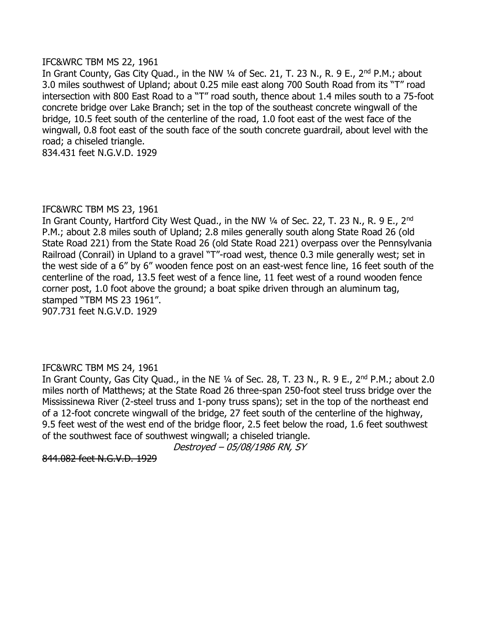#### IFC&WRC TBM MS 22, 1961

In Grant County, Gas City Quad., in the NW 1/4 of Sec. 21, T. 23 N., R. 9 E., 2<sup>nd</sup> P.M.; about 3.0 miles southwest of Upland; about 0.25 mile east along 700 South Road from its "T" road intersection with 800 East Road to a "T" road south, thence about 1.4 miles south to a 75-foot concrete bridge over Lake Branch; set in the top of the southeast concrete wingwall of the bridge, 10.5 feet south of the centerline of the road, 1.0 foot east of the west face of the wingwall, 0.8 foot east of the south face of the south concrete guardrail, about level with the road; a chiseled triangle.

834.431 feet N.G.V.D. 1929

### IFC&WRC TBM MS 23, 1961

In Grant County, Hartford City West Ouad., in the NW 1/4 of Sec. 22, T. 23 N., R. 9 E., 2<sup>nd</sup> P.M.; about 2.8 miles south of Upland; 2.8 miles generally south along State Road 26 (old State Road 221) from the State Road 26 (old State Road 221) overpass over the Pennsylvania Railroad (Conrail) in Upland to a gravel "T"-road west, thence 0.3 mile generally west; set in the west side of a 6" by 6" wooden fence post on an east-west fence line, 16 feet south of the centerline of the road, 13.5 feet west of a fence line, 11 feet west of a round wooden fence corner post, 1.0 foot above the ground; a boat spike driven through an aluminum tag, stamped "TBM MS 23 1961". 907.731 feet N.G.V.D. 1929

### IFC&WRC TBM MS 24, 1961

In Grant County, Gas City Quad., in the NE 1/4 of Sec. 28, T. 23 N., R. 9 E., 2<sup>nd</sup> P.M.; about 2.0 miles north of Matthews; at the State Road 26 three-span 250-foot steel truss bridge over the Mississinewa River (2-steel truss and 1-pony truss spans); set in the top of the northeast end of a 12-foot concrete wingwall of the bridge, 27 feet south of the centerline of the highway, 9.5 feet west of the west end of the bridge floor, 2.5 feet below the road, 1.6 feet southwest of the southwest face of southwest wingwall; a chiseled triangle.

Destroyed – 05/08/1986 RN, SY

844.082 feet N.G.V.D. 1929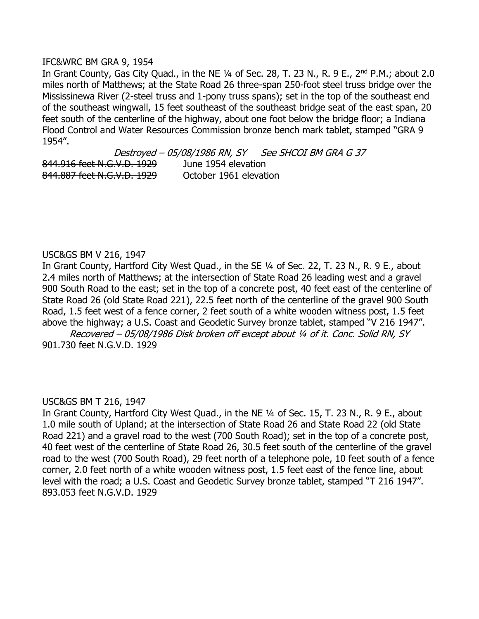#### IFC&WRC BM GRA 9, 1954

In Grant County, Gas City Quad., in the NE 1/4 of Sec. 28, T. 23 N., R. 9 E., 2<sup>nd</sup> P.M.; about 2.0 miles north of Matthews; at the State Road 26 three-span 250-foot steel truss bridge over the Mississinewa River (2-steel truss and 1-pony truss spans); set in the top of the southeast end of the southeast wingwall, 15 feet southeast of the southeast bridge seat of the east span, 20 feet south of the centerline of the highway, about one foot below the bridge floor; a Indiana Flood Control and Water Resources Commission bronze bench mark tablet, stamped "GRA 9 1954".

Destroyed - 05/08/1986 RN, SY See SHCOI BM GRA G 37 844.916 feet N.G.V.D. 1929 June 1954 elevation 844.887 feet N.G.V.D. 1929 October 1961 elevation

#### USC&GS BM V 216, 1947

In Grant County, Hartford City West Quad., in the SE 1/4 of Sec. 22, T. 23 N., R. 9 E., about 2.4 miles north of Matthews; at the intersection of State Road 26 leading west and a gravel 900 South Road to the east; set in the top of a concrete post, 40 feet east of the centerline of State Road 26 (old State Road 221), 22.5 feet north of the centerline of the gravel 900 South Road, 1.5 feet west of a fence corner, 2 feet south of a white wooden witness post, 1.5 feet above the highway; a U.S. Coast and Geodetic Survey bronze tablet, stamped "V 216 1947".

Recovered – 05/08/1986 Disk broken off except about ¼ of it. Conc. Solid RN, SY 901.730 feet N.G.V.D. 1929

#### USC&GS BM T 216, 1947

In Grant County, Hartford City West Quad., in the NE 1/4 of Sec. 15, T. 23 N., R. 9 E., about 1.0 mile south of Upland; at the intersection of State Road 26 and State Road 22 (old State Road 221) and a gravel road to the west (700 South Road); set in the top of a concrete post, 40 feet west of the centerline of State Road 26, 30.5 feet south of the centerline of the gravel road to the west (700 South Road), 29 feet north of a telephone pole, 10 feet south of a fence corner, 2.0 feet north of a white wooden witness post, 1.5 feet east of the fence line, about level with the road; a U.S. Coast and Geodetic Survey bronze tablet, stamped "T 216 1947". 893.053 feet N.G.V.D. 1929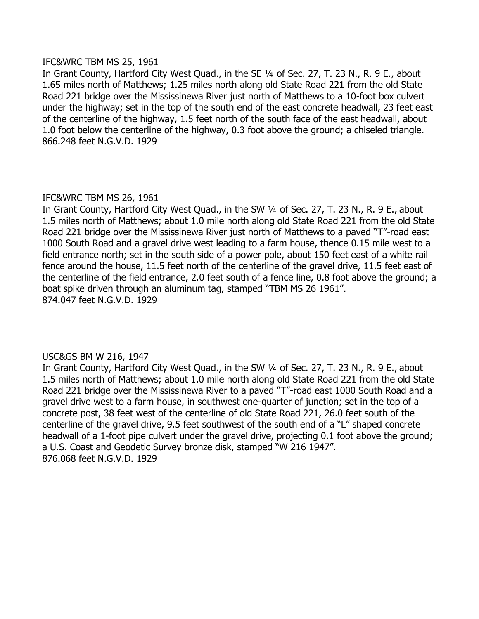#### IFC&WRC TBM MS 25, 1961

In Grant County, Hartford City West Quad., in the SE 1/4 of Sec. 27, T. 23 N., R. 9 E., about 1.65 miles north of Matthews; 1.25 miles north along old State Road 221 from the old State Road 221 bridge over the Mississinewa River just north of Matthews to a 10-foot box culvert under the highway; set in the top of the south end of the east concrete headwall, 23 feet east of the centerline of the highway, 1.5 feet north of the south face of the east headwall, about 1.0 foot below the centerline of the highway, 0.3 foot above the ground; a chiseled triangle. 866.248 feet N.G.V.D. 1929

### IFC&WRC TBM MS 26, 1961

In Grant County, Hartford City West Quad., in the SW ¼ of Sec. 27, T. 23 N., R. 9 E., about 1.5 miles north of Matthews; about 1.0 mile north along old State Road 221 from the old State Road 221 bridge over the Mississinewa River just north of Matthews to a paved "T"-road east 1000 South Road and a gravel drive west leading to a farm house, thence 0.15 mile west to a field entrance north; set in the south side of a power pole, about 150 feet east of a white rail fence around the house, 11.5 feet north of the centerline of the gravel drive, 11.5 feet east of the centerline of the field entrance, 2.0 feet south of a fence line, 0.8 foot above the ground; a boat spike driven through an aluminum tag, stamped "TBM MS 26 1961". 874.047 feet N.G.V.D. 1929

### USC&GS BM W 216, 1947

In Grant County, Hartford City West Quad., in the SW ¼ of Sec. 27, T. 23 N., R. 9 E., about 1.5 miles north of Matthews; about 1.0 mile north along old State Road 221 from the old State Road 221 bridge over the Mississinewa River to a paved "T"-road east 1000 South Road and a gravel drive west to a farm house, in southwest one-quarter of junction; set in the top of a concrete post, 38 feet west of the centerline of old State Road 221, 26.0 feet south of the centerline of the gravel drive, 9.5 feet southwest of the south end of a "L" shaped concrete headwall of a 1-foot pipe culvert under the gravel drive, projecting 0.1 foot above the ground; a U.S. Coast and Geodetic Survey bronze disk, stamped "W 216 1947". 876.068 feet N.G.V.D. 1929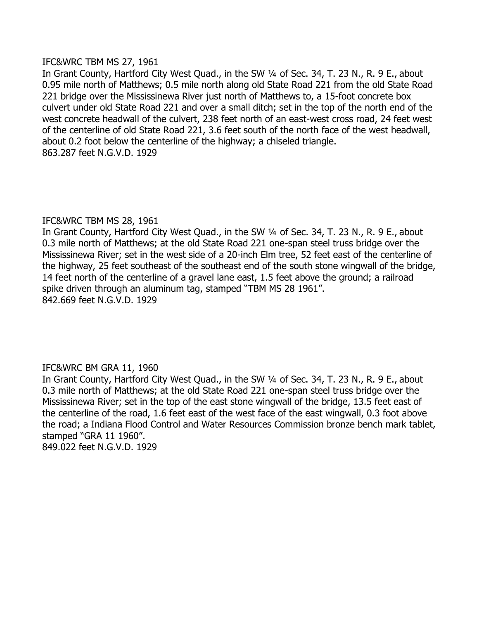#### IFC&WRC TBM MS 27, 1961

In Grant County, Hartford City West Quad., in the SW 1/4 of Sec. 34, T. 23 N., R. 9 E., about 0.95 mile north of Matthews; 0.5 mile north along old State Road 221 from the old State Road 221 bridge over the Mississinewa River just north of Matthews to, a 15-foot concrete box culvert under old State Road 221 and over a small ditch; set in the top of the north end of the west concrete headwall of the culvert, 238 feet north of an east-west cross road, 24 feet west of the centerline of old State Road 221, 3.6 feet south of the north face of the west headwall, about 0.2 foot below the centerline of the highway; a chiseled triangle. 863.287 feet N.G.V.D. 1929

### IFC&WRC TBM MS 28, 1961

In Grant County, Hartford City West Quad., in the SW 1/4 of Sec. 34, T. 23 N., R. 9 E., about 0.3 mile north of Matthews; at the old State Road 221 one-span steel truss bridge over the Mississinewa River; set in the west side of a 20-inch Elm tree, 52 feet east of the centerline of the highway, 25 feet southeast of the southeast end of the south stone wingwall of the bridge, 14 feet north of the centerline of a gravel lane east, 1.5 feet above the ground; a railroad spike driven through an aluminum tag, stamped "TBM MS 28 1961". 842.669 feet N.G.V.D. 1929

### IFC&WRC BM GRA 11, 1960

In Grant County, Hartford City West Quad., in the SW 1/4 of Sec. 34, T. 23 N., R. 9 E., about 0.3 mile north of Matthews; at the old State Road 221 one-span steel truss bridge over the Mississinewa River; set in the top of the east stone wingwall of the bridge, 13.5 feet east of the centerline of the road, 1.6 feet east of the west face of the east wingwall, 0.3 foot above the road; a Indiana Flood Control and Water Resources Commission bronze bench mark tablet, stamped "GRA 11 1960".

849.022 feet N.G.V.D. 1929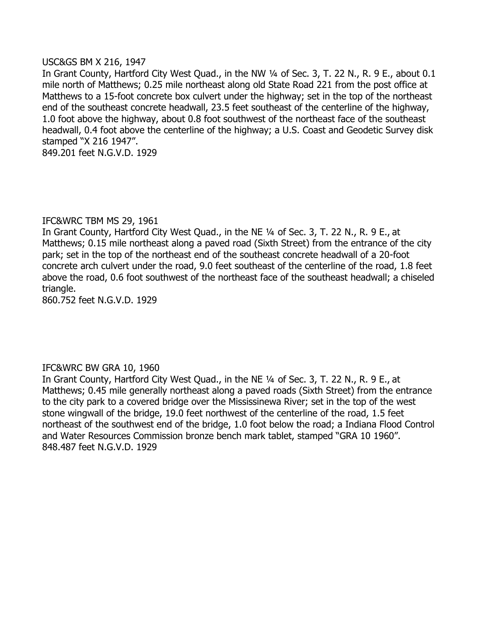#### USC&GS BM X 216, 1947

In Grant County, Hartford City West Quad., in the NW 1/4 of Sec. 3, T. 22 N., R. 9 E., about 0.1 mile north of Matthews; 0.25 mile northeast along old State Road 221 from the post office at Matthews to a 15-foot concrete box culvert under the highway; set in the top of the northeast end of the southeast concrete headwall, 23.5 feet southeast of the centerline of the highway, 1.0 foot above the highway, about 0.8 foot southwest of the northeast face of the southeast headwall, 0.4 foot above the centerline of the highway; a U.S. Coast and Geodetic Survey disk stamped "X 216 1947". 849.201 feet N.G.V.D. 1929

### IFC&WRC TBM MS 29, 1961

In Grant County, Hartford City West Quad., in the NE ¼ of Sec. 3, T. 22 N., R. 9 E., at Matthews; 0.15 mile northeast along a paved road (Sixth Street) from the entrance of the city park; set in the top of the northeast end of the southeast concrete headwall of a 20-foot concrete arch culvert under the road, 9.0 feet southeast of the centerline of the road, 1.8 feet above the road, 0.6 foot southwest of the northeast face of the southeast headwall; a chiseled triangle.

860.752 feet N.G.V.D. 1929

# IFC&WRC BW GRA 10, 1960

In Grant County, Hartford City West Quad., in the NE ¼ of Sec. 3, T. 22 N., R. 9 E., at Matthews; 0.45 mile generally northeast along a paved roads (Sixth Street) from the entrance to the city park to a covered bridge over the Mississinewa River; set in the top of the west stone wingwall of the bridge, 19.0 feet northwest of the centerline of the road, 1.5 feet northeast of the southwest end of the bridge, 1.0 foot below the road; a Indiana Flood Control and Water Resources Commission bronze bench mark tablet, stamped "GRA 10 1960". 848.487 feet N.G.V.D. 1929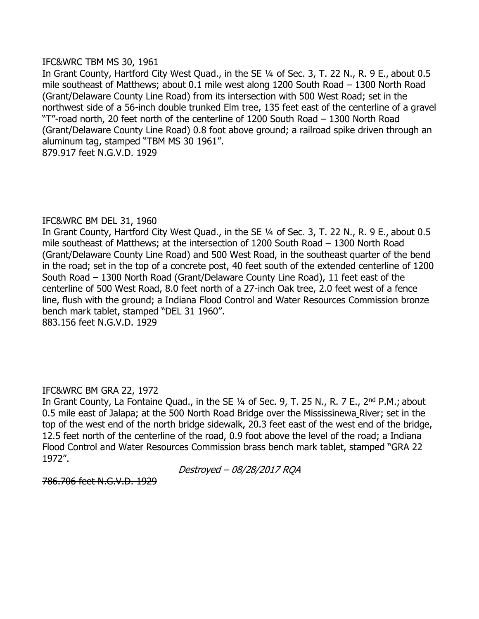#### IFC&WRC TBM MS 30, 1961

In Grant County, Hartford City West Quad., in the SE ¼ of Sec. 3, T. 22 N., R. 9 E., about 0.5 mile southeast of Matthews; about 0.1 mile west along 1200 South Road – 1300 North Road (Grant/Delaware County Line Road) from its intersection with 500 West Road; set in the northwest side of a 56-inch double trunked Elm tree, 135 feet east of the centerline of a gravel "T"-road north, 20 feet north of the centerline of 1200 South Road – 1300 North Road (Grant/Delaware County Line Road) 0.8 foot above ground; a railroad spike driven through an aluminum tag, stamped "TBM MS 30 1961". 879.917 feet N.G.V.D. 1929

### IFC&WRC BM DEL 31, 1960

In Grant County, Hartford City West Quad., in the SE 1/4 of Sec. 3, T. 22 N., R. 9 E., about 0.5 mile southeast of Matthews; at the intersection of 1200 South Road – 1300 North Road (Grant/Delaware County Line Road) and 500 West Road, in the southeast quarter of the bend in the road; set in the top of a concrete post, 40 feet south of the extended centerline of 1200 South Road – 1300 North Road (Grant/Delaware County Line Road), 11 feet east of the centerline of 500 West Road, 8.0 feet north of a 27-inch Oak tree, 2.0 feet west of a fence line, flush with the ground; a Indiana Flood Control and Water Resources Commission bronze bench mark tablet, stamped "DEL 31 1960". 883.156 feet N.G.V.D. 1929

### IFC&WRC BM GRA 22, 1972

In Grant County, La Fontaine Quad., in the SE 1/4 of Sec. 9, T. 25 N., R. 7 E., 2<sup>nd</sup> P.M.; about 0.5 mile east of Jalapa; at the 500 North Road Bridge over the Mississinewa River; set in the top of the west end of the north bridge sidewalk, 20.3 feet east of the west end of the bridge, 12.5 feet north of the centerline of the road, 0.9 foot above the level of the road; a Indiana Flood Control and Water Resources Commission brass bench mark tablet, stamped "GRA 22 1972".

Destroyed – 08/28/2017 RQA

786.706 feet N.G.V.D. 1929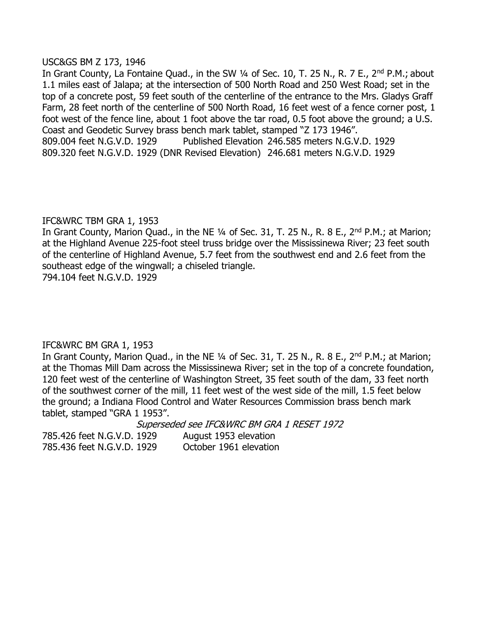#### USC&GS BM Z 173, 1946

In Grant County, La Fontaine Quad., in the SW 1/4 of Sec. 10, T. 25 N., R. 7 E., 2<sup>nd</sup> P.M.; about 1.1 miles east of Jalapa; at the intersection of 500 North Road and 250 West Road; set in the top of a concrete post, 59 feet south of the centerline of the entrance to the Mrs. Gladys Graff Farm, 28 feet north of the centerline of 500 North Road, 16 feet west of a fence corner post, 1 foot west of the fence line, about 1 foot above the tar road, 0.5 foot above the ground; a U.S. Coast and Geodetic Survey brass bench mark tablet, stamped "Z 173 1946". 809.004 feet N.G.V.D. 1929 Published Elevation 246.585 meters N.G.V.D. 1929 809.320 feet N.G.V.D. 1929 (DNR Revised Elevation) 246.681 meters N.G.V.D. 1929

### IFC&WRC TBM GRA 1, 1953

In Grant County, Marion Quad., in the NE 1/4 of Sec. 31, T. 25 N., R. 8 E., 2<sup>nd</sup> P.M.; at Marion; at the Highland Avenue 225-foot steel truss bridge over the Mississinewa River; 23 feet south of the centerline of Highland Avenue, 5.7 feet from the southwest end and 2.6 feet from the southeast edge of the wingwall; a chiseled triangle.

794.104 feet N.G.V.D. 1929

### IFC&WRC BM GRA 1, 1953

In Grant County, Marion Quad., in the NE 1/4 of Sec. 31, T. 25 N., R. 8 E., 2<sup>nd</sup> P.M.; at Marion; at the Thomas Mill Dam across the Mississinewa River; set in the top of a concrete foundation, 120 feet west of the centerline of Washington Street, 35 feet south of the dam, 33 feet north of the southwest corner of the mill, 11 feet west of the west side of the mill, 1.5 feet below the ground; a Indiana Flood Control and Water Resources Commission brass bench mark tablet, stamped "GRA 1 1953".

Superseded see IFC&WRC BM GRA 1 RESET 1972

785.426 feet N.G.V.D. 1929 August 1953 elevation 785.436 feet N.G.V.D. 1929 October 1961 elevation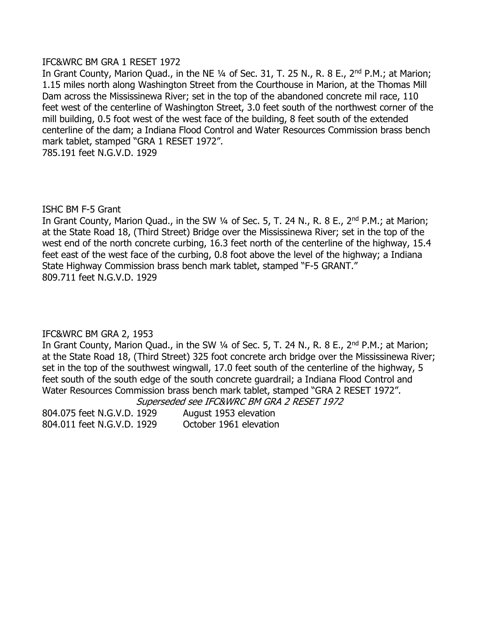#### IFC&WRC BM GRA 1 RESET 1972

In Grant County, Marion Quad., in the NE 1/4 of Sec. 31, T. 25 N., R. 8 E., 2<sup>nd</sup> P.M.; at Marion; 1.15 miles north along Washington Street from the Courthouse in Marion, at the Thomas Mill Dam across the Mississinewa River; set in the top of the abandoned concrete mil race, 110 feet west of the centerline of Washington Street, 3.0 feet south of the northwest corner of the mill building, 0.5 foot west of the west face of the building, 8 feet south of the extended centerline of the dam; a Indiana Flood Control and Water Resources Commission brass bench mark tablet, stamped "GRA 1 RESET 1972". 785.191 feet N.G.V.D. 1929

### ISHC BM F-5 Grant

In Grant County, Marion Quad., in the SW 1/4 of Sec. 5, T. 24 N., R. 8 E., 2<sup>nd</sup> P.M.; at Marion; at the State Road 18, (Third Street) Bridge over the Mississinewa River; set in the top of the west end of the north concrete curbing, 16.3 feet north of the centerline of the highway, 15.4 feet east of the west face of the curbing, 0.8 foot above the level of the highway; a Indiana State Highway Commission brass bench mark tablet, stamped "F-5 GRANT." 809.711 feet N.G.V.D. 1929

# IFC&WRC BM GRA 2, 1953

In Grant County, Marion Quad., in the SW 1/4 of Sec. 5, T. 24 N., R. 8 E., 2<sup>nd</sup> P.M.; at Marion; at the State Road 18, (Third Street) 325 foot concrete arch bridge over the Mississinewa River; set in the top of the southwest wingwall, 17.0 feet south of the centerline of the highway, 5 feet south of the south edge of the south concrete guardrail; a Indiana Flood Control and Water Resources Commission brass bench mark tablet, stamped "GRA 2 RESET 1972".

Superseded see IFC&WRC BM GRA 2 RESET 1972

804.075 feet N.G.V.D. 1929 August 1953 elevation 804.011 feet N.G.V.D. 1929 October 1961 elevation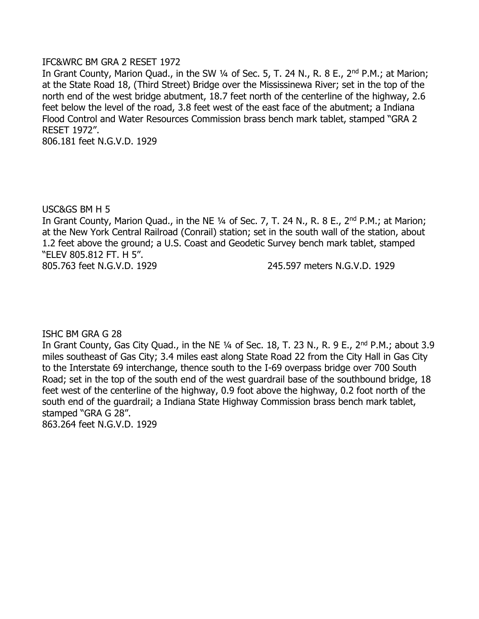#### IFC&WRC BM GRA 2 RESET 1972

In Grant County, Marion Quad., in the SW 1/4 of Sec. 5, T. 24 N., R. 8 E., 2<sup>nd</sup> P.M.; at Marion; at the State Road 18, (Third Street) Bridge over the Mississinewa River; set in the top of the north end of the west bridge abutment, 18.7 feet north of the centerline of the highway, 2.6 feet below the level of the road, 3.8 feet west of the east face of the abutment; a Indiana Flood Control and Water Resources Commission brass bench mark tablet, stamped "GRA 2 RESET 1972".

806.181 feet N.G.V.D. 1929

USC&GS BM H 5

In Grant County, Marion Quad., in the NE 1/4 of Sec. 7, T. 24 N., R. 8 E., 2<sup>nd</sup> P.M.; at Marion; at the New York Central Railroad (Conrail) station; set in the south wall of the station, about 1.2 feet above the ground; a U.S. Coast and Geodetic Survey bench mark tablet, stamped "ELEV 805.812 FT. H 5".

805.763 feet N.G.V.D. 1929 245.597 meters N.G.V.D. 1929

ISHC BM GRA G 28

In Grant County, Gas City Quad., in the NE 1/4 of Sec. 18, T. 23 N., R. 9 E., 2<sup>nd</sup> P.M.; about 3.9 miles southeast of Gas City; 3.4 miles east along State Road 22 from the City Hall in Gas City to the Interstate 69 interchange, thence south to the I-69 overpass bridge over 700 South Road; set in the top of the south end of the west guardrail base of the southbound bridge, 18 feet west of the centerline of the highway, 0.9 foot above the highway, 0.2 foot north of the south end of the guardrail; a Indiana State Highway Commission brass bench mark tablet, stamped "GRA G 28". 863.264 feet N.G.V.D. 1929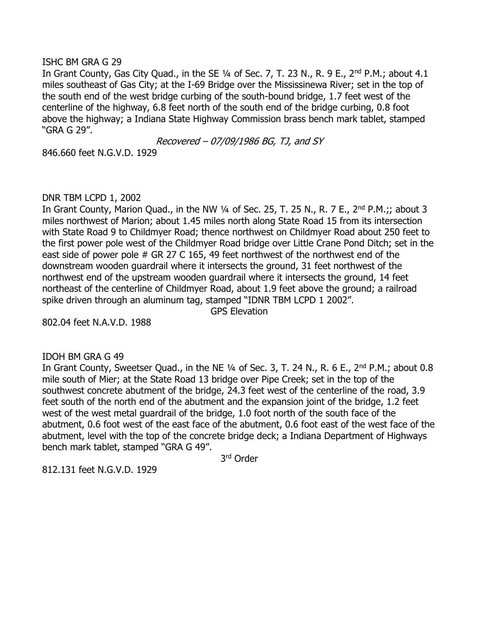#### ISHC BM GRA G 29

In Grant County, Gas City Quad., in the SE 1/4 of Sec. 7, T. 23 N., R. 9 E., 2<sup>nd</sup> P.M.; about 4.1 miles southeast of Gas City; at the I-69 Bridge over the Mississinewa River; set in the top of the south end of the west bridge curbing of the south-bound bridge, 1.7 feet west of the centerline of the highway, 6.8 feet north of the south end of the bridge curbing, 0.8 foot above the highway; a Indiana State Highway Commission brass bench mark tablet, stamped "GRA G 29".

Recovered – 07/09/1986 BG, TJ, and SY

846.660 feet N.G.V.D. 1929

#### DNR TBM LCPD 1, 2002

In Grant County, Marion Quad., in the NW  $\frac{1}{4}$  of Sec. 25, T. 25 N., R. 7 E., 2<sup>nd</sup> P.M.;; about 3 miles northwest of Marion; about 1.45 miles north along State Road 15 from its intersection with State Road 9 to Childmyer Road; thence northwest on Childmyer Road about 250 feet to the first power pole west of the Childmyer Road bridge over Little Crane Pond Ditch; set in the east side of power pole # GR 27 C 165, 49 feet northwest of the northwest end of the downstream wooden guardrail where it intersects the ground, 31 feet northwest of the northwest end of the upstream wooden guardrail where it intersects the ground, 14 feet northeast of the centerline of Childmyer Road, about 1.9 feet above the ground; a railroad spike driven through an aluminum tag, stamped "IDNR TBM LCPD 1 2002".

GPS Elevation

802.04 feet N.A.V.D. 1988

### IDOH BM GRA G 49

In Grant County, Sweetser Quad., in the NE 1/4 of Sec. 3, T. 24 N., R. 6 E., 2<sup>nd</sup> P.M.; about 0.8 mile south of Mier; at the State Road 13 bridge over Pipe Creek; set in the top of the southwest concrete abutment of the bridge, 24.3 feet west of the centerline of the road, 3.9 feet south of the north end of the abutment and the expansion joint of the bridge, 1.2 feet west of the west metal guardrail of the bridge, 1.0 foot north of the south face of the abutment, 0.6 foot west of the east face of the abutment, 0.6 foot east of the west face of the abutment, level with the top of the concrete bridge deck; a Indiana Department of Highways bench mark tablet, stamped "GRA G 49".

3 rd Order

812.131 feet N.G.V.D. 1929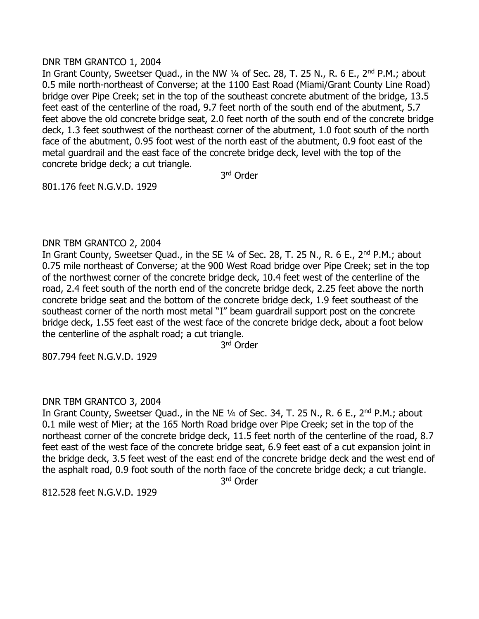#### DNR TBM GRANTCO 1, 2004

In Grant County, Sweetser Quad., in the NW 1/4 of Sec. 28, T. 25 N., R. 6 E., 2<sup>nd</sup> P.M.; about 0.5 mile north-northeast of Converse; at the 1100 East Road (Miami/Grant County Line Road) bridge over Pipe Creek; set in the top of the southeast concrete abutment of the bridge, 13.5 feet east of the centerline of the road, 9.7 feet north of the south end of the abutment, 5.7 feet above the old concrete bridge seat, 2.0 feet north of the south end of the concrete bridge deck, 1.3 feet southwest of the northeast corner of the abutment, 1.0 foot south of the north face of the abutment, 0.95 foot west of the north east of the abutment, 0.9 foot east of the metal guardrail and the east face of the concrete bridge deck, level with the top of the concrete bridge deck; a cut triangle.

3 rd Order

801.176 feet N.G.V.D. 1929

### DNR TBM GRANTCO 2, 2004

In Grant County, Sweetser Quad., in the SE 1/4 of Sec. 28, T. 25 N., R. 6 E., 2<sup>nd</sup> P.M.; about 0.75 mile northeast of Converse; at the 900 West Road bridge over Pipe Creek; set in the top of the northwest corner of the concrete bridge deck, 10.4 feet west of the centerline of the road, 2.4 feet south of the north end of the concrete bridge deck, 2.25 feet above the north concrete bridge seat and the bottom of the concrete bridge deck, 1.9 feet southeast of the southeast corner of the north most metal "I" beam guardrail support post on the concrete bridge deck, 1.55 feet east of the west face of the concrete bridge deck, about a foot below the centerline of the asphalt road; a cut triangle.

3 rd Order

807.794 feet N.G.V.D. 1929

### DNR TBM GRANTCO 3, 2004

In Grant County, Sweetser Quad., in the NE 1/4 of Sec. 34, T. 25 N., R. 6 E., 2<sup>nd</sup> P.M.; about 0.1 mile west of Mier; at the 165 North Road bridge over Pipe Creek; set in the top of the northeast corner of the concrete bridge deck, 11.5 feet north of the centerline of the road, 8.7 feet east of the west face of the concrete bridge seat, 6.9 feet east of a cut expansion joint in the bridge deck, 3.5 feet west of the east end of the concrete bridge deck and the west end of the asphalt road, 0.9 foot south of the north face of the concrete bridge deck; a cut triangle.

3 rd Order

812.528 feet N.G.V.D. 1929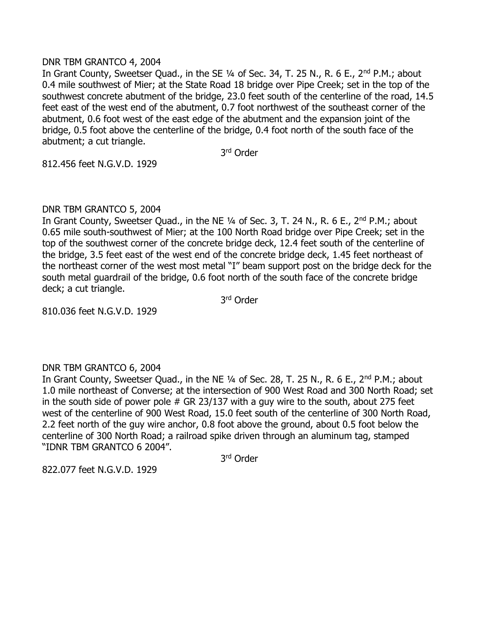#### DNR TBM GRANTCO 4, 2004

In Grant County, Sweetser Quad., in the SE 1/4 of Sec. 34, T. 25 N., R. 6 E., 2<sup>nd</sup> P.M.; about 0.4 mile southwest of Mier; at the State Road 18 bridge over Pipe Creek; set in the top of the southwest concrete abutment of the bridge, 23.0 feet south of the centerline of the road, 14.5 feet east of the west end of the abutment, 0.7 foot northwest of the southeast corner of the abutment, 0.6 foot west of the east edge of the abutment and the expansion joint of the bridge, 0.5 foot above the centerline of the bridge, 0.4 foot north of the south face of the abutment; a cut triangle.

3 rd Order

812.456 feet N.G.V.D. 1929

### DNR TBM GRANTCO 5, 2004

In Grant County, Sweetser Quad., in the NE 1/4 of Sec. 3, T. 24 N., R. 6 E., 2<sup>nd</sup> P.M.; about 0.65 mile south-southwest of Mier; at the 100 North Road bridge over Pipe Creek; set in the top of the southwest corner of the concrete bridge deck, 12.4 feet south of the centerline of the bridge, 3.5 feet east of the west end of the concrete bridge deck, 1.45 feet northeast of the northeast corner of the west most metal "I" beam support post on the bridge deck for the south metal guardrail of the bridge, 0.6 foot north of the south face of the concrete bridge deck; a cut triangle.

3 rd Order

810.036 feet N.G.V.D. 1929

### DNR TBM GRANTCO 6, 2004

In Grant County, Sweetser Quad., in the NE 1/4 of Sec. 28, T. 25 N., R. 6 E., 2<sup>nd</sup> P.M.; about 1.0 mile northeast of Converse; at the intersection of 900 West Road and 300 North Road; set in the south side of power pole  $#$  GR 23/137 with a guy wire to the south, about 275 feet west of the centerline of 900 West Road, 15.0 feet south of the centerline of 300 North Road, 2.2 feet north of the guy wire anchor, 0.8 foot above the ground, about 0.5 foot below the centerline of 300 North Road; a railroad spike driven through an aluminum tag, stamped "IDNR TBM GRANTCO 6 2004".

3 rd Order

822.077 feet N.G.V.D. 1929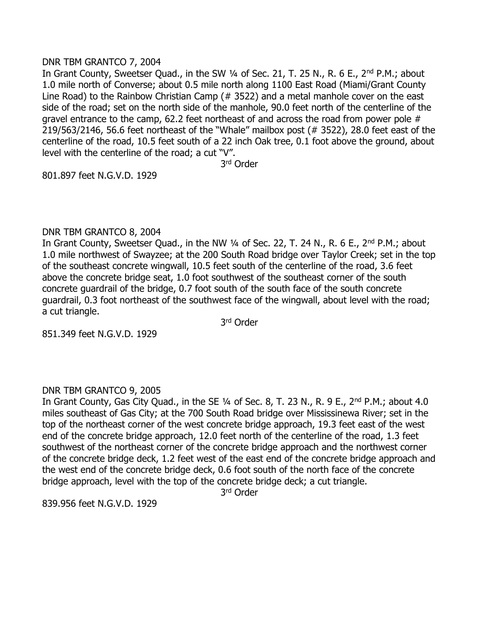#### DNR TBM GRANTCO 7, 2004

In Grant County, Sweetser Quad., in the SW 1/4 of Sec. 21, T. 25 N., R. 6 E., 2<sup>nd</sup> P.M.; about 1.0 mile north of Converse; about 0.5 mile north along 1100 East Road (Miami/Grant County Line Road) to the Rainbow Christian Camp (# 3522) and a metal manhole cover on the east side of the road; set on the north side of the manhole, 90.0 feet north of the centerline of the gravel entrance to the camp, 62.2 feet northeast of and across the road from power pole # 219/563/2146, 56.6 feet northeast of the "Whale" mailbox post (# 3522), 28.0 feet east of the centerline of the road, 10.5 feet south of a 22 inch Oak tree, 0.1 foot above the ground, about level with the centerline of the road; a cut "V".

3 rd Order

801.897 feet N.G.V.D. 1929

#### DNR TBM GRANTCO 8, 2004

In Grant County, Sweetser Quad., in the NW 1/4 of Sec. 22, T. 24 N., R. 6 E., 2<sup>nd</sup> P.M.; about 1.0 mile northwest of Swayzee; at the 200 South Road bridge over Taylor Creek; set in the top of the southeast concrete wingwall, 10.5 feet south of the centerline of the road, 3.6 feet above the concrete bridge seat, 1.0 foot southwest of the southeast corner of the south concrete guardrail of the bridge, 0.7 foot south of the south face of the south concrete guardrail, 0.3 foot northeast of the southwest face of the wingwall, about level with the road; a cut triangle.

3 rd Order

851.349 feet N.G.V.D. 1929

### DNR TBM GRANTCO 9, 2005

In Grant County, Gas City Quad., in the SE 1/4 of Sec. 8, T. 23 N., R. 9 E., 2<sup>nd</sup> P.M.; about 4.0 miles southeast of Gas City; at the 700 South Road bridge over Mississinewa River; set in the top of the northeast corner of the west concrete bridge approach, 19.3 feet east of the west end of the concrete bridge approach, 12.0 feet north of the centerline of the road, 1.3 feet southwest of the northeast corner of the concrete bridge approach and the northwest corner of the concrete bridge deck, 1.2 feet west of the east end of the concrete bridge approach and the west end of the concrete bridge deck, 0.6 foot south of the north face of the concrete bridge approach, level with the top of the concrete bridge deck; a cut triangle.

3 rd Order

839.956 feet N.G.V.D. 1929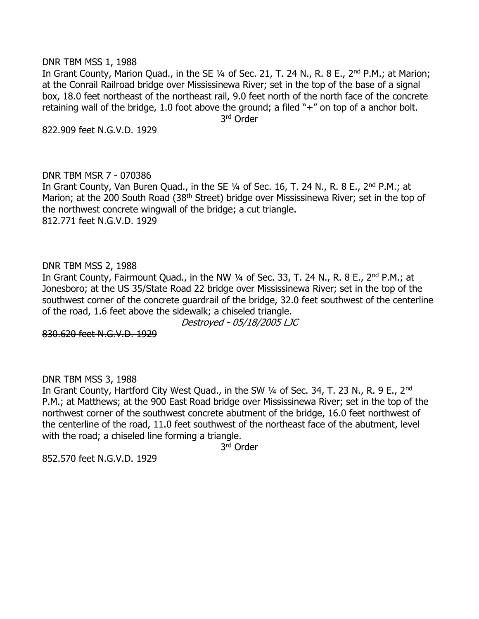DNR TBM MSS 1, 1988

In Grant County, Marion Quad., in the SE 1/4 of Sec. 21, T. 24 N., R. 8 E., 2<sup>nd</sup> P.M.; at Marion; at the Conrail Railroad bridge over Mississinewa River; set in the top of the base of a signal box, 18.0 feet northeast of the northeast rail, 9.0 feet north of the north face of the concrete retaining wall of the bridge, 1.0 foot above the ground; a filed "+" on top of a anchor bolt. 3 rd Order

822.909 feet N.G.V.D. 1929

### DNR TBM MSR 7 - 070386

In Grant County, Van Buren Quad., in the SE 1/4 of Sec. 16, T. 24 N., R. 8 E., 2<sup>nd</sup> P.M.; at Marion; at the 200 South Road (38<sup>th</sup> Street) bridge over Mississinewa River; set in the top of the northwest concrete wingwall of the bridge; a cut triangle. 812.771 feet N.G.V.D. 1929

DNR TBM MSS 2, 1988

In Grant County, Fairmount Quad., in the NW  $\frac{1}{4}$  of Sec. 33, T. 24 N., R. 8 E., 2<sup>nd</sup> P.M.; at Jonesboro; at the US 35/State Road 22 bridge over Mississinewa River; set in the top of the southwest corner of the concrete guardrail of the bridge, 32.0 feet southwest of the centerline of the road, 1.6 feet above the sidewalk; a chiseled triangle.

Destroyed - 05/18/2005 LJC

830.620 feet N.G.V.D. 1929

DNR TBM MSS 3, 1988

In Grant County, Hartford City West Quad., in the SW 1/4 of Sec. 34, T. 23 N., R. 9 E., 2<sup>nd</sup> P.M.; at Matthews; at the 900 East Road bridge over Mississinewa River; set in the top of the northwest corner of the southwest concrete abutment of the bridge, 16.0 feet northwest of the centerline of the road, 11.0 feet southwest of the northeast face of the abutment, level with the road; a chiseled line forming a triangle.

3 rd Order

852.570 feet N.G.V.D. 1929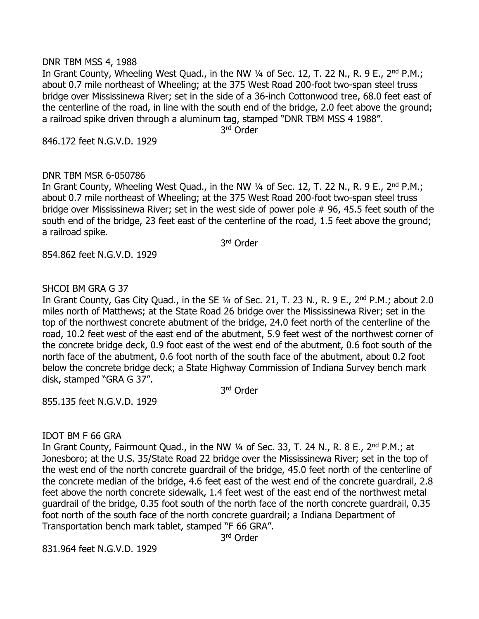#### DNR TBM MSS 4, 1988

In Grant County, Wheeling West Quad., in the NW 1/4 of Sec. 12, T. 22 N., R. 9 E., 2<sup>nd</sup> P.M.; about 0.7 mile northeast of Wheeling; at the 375 West Road 200-foot two-span steel truss bridge over Mississinewa River; set in the side of a 36-inch Cottonwood tree, 68.0 feet east of the centerline of the road, in line with the south end of the bridge, 2.0 feet above the ground; a railroad spike driven through a aluminum tag, stamped "DNR TBM MSS 4 1988".

3 rd Order

846.172 feet N.G.V.D. 1929

# DNR TBM MSR 6-050786

In Grant County, Wheeling West Quad., in the NW  $\frac{1}{4}$  of Sec. 12, T. 22 N., R. 9 E., 2<sup>nd</sup> P.M.; about 0.7 mile northeast of Wheeling; at the 375 West Road 200-foot two-span steel truss bridge over Mississinewa River; set in the west side of power pole # 96, 45.5 feet south of the south end of the bridge, 23 feet east of the centerline of the road, 1.5 feet above the ground; a railroad spike.

3 rd Order

854.862 feet N.G.V.D. 1929

### SHCOI BM GRA G 37

In Grant County, Gas City Quad., in the SE 1/4 of Sec. 21, T. 23 N., R. 9 E., 2<sup>nd</sup> P.M.; about 2.0 miles north of Matthews; at the State Road 26 bridge over the Mississinewa River; set in the top of the northwest concrete abutment of the bridge, 24.0 feet north of the centerline of the road, 10.2 feet west of the east end of the abutment, 5.9 feet west of the northwest corner of the concrete bridge deck, 0.9 foot east of the west end of the abutment, 0.6 foot south of the north face of the abutment, 0.6 foot north of the south face of the abutment, about 0.2 foot below the concrete bridge deck; a State Highway Commission of Indiana Survey bench mark disk, stamped "GRA G 37".

3 rd Order

855.135 feet N.G.V.D. 1929

### IDOT BM F 66 GRA

In Grant County, Fairmount Quad., in the NW 1/4 of Sec. 33, T. 24 N., R. 8 E., 2<sup>nd</sup> P.M.; at Jonesboro; at the U.S. 35/State Road 22 bridge over the Mississinewa River; set in the top of the west end of the north concrete guardrail of the bridge, 45.0 feet north of the centerline of the concrete median of the bridge, 4.6 feet east of the west end of the concrete guardrail, 2.8 feet above the north concrete sidewalk, 1.4 feet west of the east end of the northwest metal guardrail of the bridge, 0.35 foot south of the north face of the north concrete guardrail, 0.35 foot north of the south face of the north concrete guardrail; a Indiana Department of Transportation bench mark tablet, stamped "F 66 GRA".

3 rd Order

831.964 feet N.G.V.D. 1929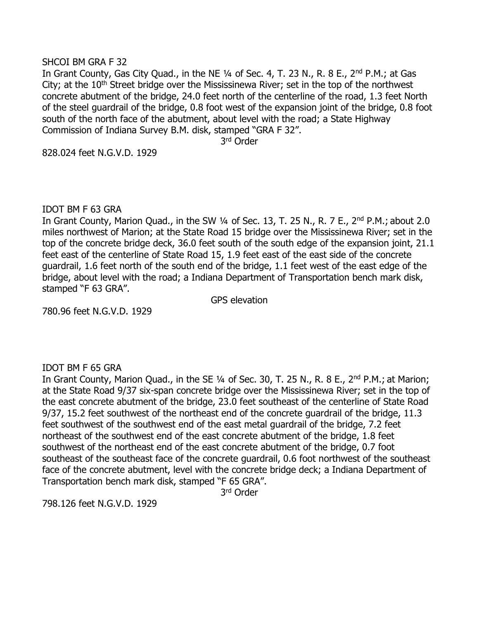#### SHCOI BM GRA F 32

In Grant County, Gas City Quad., in the NE 1/4 of Sec. 4, T. 23 N., R. 8 E., 2<sup>nd</sup> P.M.; at Gas City; at the  $10<sup>th</sup>$  Street bridge over the Mississinewa River; set in the top of the northwest concrete abutment of the bridge, 24.0 feet north of the centerline of the road, 1.3 feet North of the steel guardrail of the bridge, 0.8 foot west of the expansion joint of the bridge, 0.8 foot south of the north face of the abutment, about level with the road; a State Highway Commission of Indiana Survey B.M. disk, stamped "GRA F 32".

3 rd Order

828.024 feet N.G.V.D. 1929

#### IDOT BM F 63 GRA

In Grant County, Marion Quad., in the SW 1/4 of Sec. 13, T. 25 N., R. 7 E., 2<sup>nd</sup> P.M.; about 2.0 miles northwest of Marion; at the State Road 15 bridge over the Mississinewa River; set in the top of the concrete bridge deck, 36.0 feet south of the south edge of the expansion joint, 21.1 feet east of the centerline of State Road 15, 1.9 feet east of the east side of the concrete guardrail, 1.6 feet north of the south end of the bridge, 1.1 feet west of the east edge of the bridge, about level with the road; a Indiana Department of Transportation bench mark disk, stamped "F 63 GRA".

GPS elevation

780.96 feet N.G.V.D. 1929

#### IDOT BM F 65 GRA

In Grant County, Marion Quad., in the SE 1/4 of Sec. 30, T. 25 N., R. 8 E., 2<sup>nd</sup> P.M.; at Marion; at the State Road 9/37 six-span concrete bridge over the Mississinewa River; set in the top of the east concrete abutment of the bridge, 23.0 feet southeast of the centerline of State Road 9/37, 15.2 feet southwest of the northeast end of the concrete guardrail of the bridge, 11.3 feet southwest of the southwest end of the east metal guardrail of the bridge, 7.2 feet northeast of the southwest end of the east concrete abutment of the bridge, 1.8 feet southwest of the northeast end of the east concrete abutment of the bridge, 0.7 foot southeast of the southeast face of the concrete guardrail, 0.6 foot northwest of the southeast face of the concrete abutment, level with the concrete bridge deck; a Indiana Department of Transportation bench mark disk, stamped "F 65 GRA".

3 rd Order

798.126 feet N.G.V.D. 1929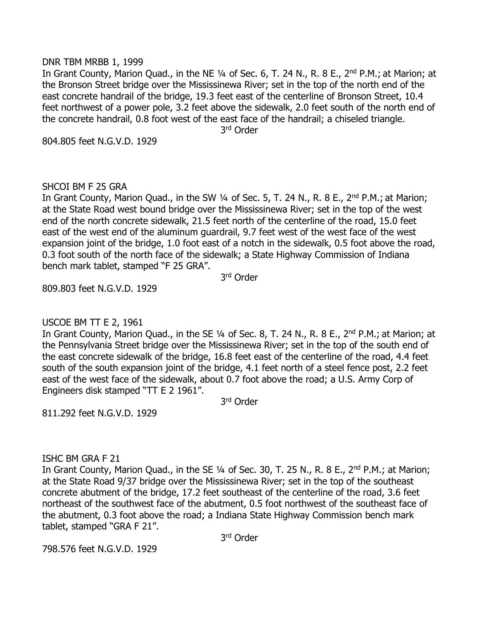#### DNR TBM MRBB 1, 1999

In Grant County, Marion Quad., in the NE 1/4 of Sec. 6, T. 24 N., R. 8 E., 2<sup>nd</sup> P.M.; at Marion; at the Bronson Street bridge over the Mississinewa River; set in the top of the north end of the east concrete handrail of the bridge, 19.3 feet east of the centerline of Bronson Street, 10.4 feet northwest of a power pole, 3.2 feet above the sidewalk, 2.0 feet south of the north end of the concrete handrail, 0.8 foot west of the east face of the handrail; a chiseled triangle. 3 rd Order

804.805 feet N.G.V.D. 1929

### SHCOI BM F 25 GRA

In Grant County, Marion Quad., in the SW 1/4 of Sec. 5, T. 24 N., R. 8 E., 2<sup>nd</sup> P.M.; at Marion; at the State Road west bound bridge over the Mississinewa River; set in the top of the west end of the north concrete sidewalk, 21.5 feet north of the centerline of the road, 15.0 feet east of the west end of the aluminum guardrail, 9.7 feet west of the west face of the west expansion joint of the bridge, 1.0 foot east of a notch in the sidewalk, 0.5 foot above the road, 0.3 foot south of the north face of the sidewalk; a State Highway Commission of Indiana bench mark tablet, stamped "F 25 GRA".

3 rd Order

809.803 feet N.G.V.D. 1929

### USCOE BM TT E 2, 1961

In Grant County, Marion Quad., in the SE 1/4 of Sec. 8, T. 24 N., R. 8 E., 2<sup>nd</sup> P.M.; at Marion; at the Pennsylvania Street bridge over the Mississinewa River; set in the top of the south end of the east concrete sidewalk of the bridge, 16.8 feet east of the centerline of the road, 4.4 feet south of the south expansion joint of the bridge, 4.1 feet north of a steel fence post, 2.2 feet east of the west face of the sidewalk, about 0.7 foot above the road; a U.S. Army Corp of Engineers disk stamped "TT E 2 1961".

3 rd Order

811.292 feet N.G.V.D. 1929

### ISHC BM GRA F 21

In Grant County, Marion Quad., in the SE 1/4 of Sec. 30, T. 25 N., R. 8 E., 2<sup>nd</sup> P.M.; at Marion; at the State Road 9/37 bridge over the Mississinewa River; set in the top of the southeast concrete abutment of the bridge, 17.2 feet southeast of the centerline of the road, 3.6 feet northeast of the southwest face of the abutment, 0.5 foot northwest of the southeast face of the abutment, 0.3 foot above the road; a Indiana State Highway Commission bench mark tablet, stamped "GRA F 21".

3 rd Order

798.576 feet N.G.V.D. 1929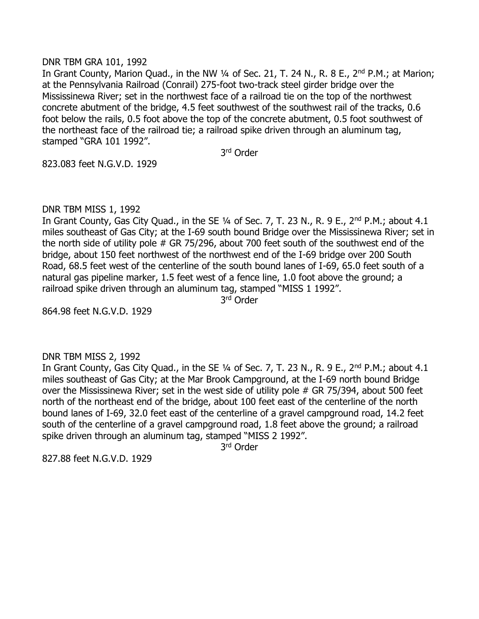#### DNR TBM GRA 101, 1992

In Grant County, Marion Quad., in the NW 1/4 of Sec. 21, T. 24 N., R. 8 E., 2<sup>nd</sup> P.M.; at Marion; at the Pennsylvania Railroad (Conrail) 275-foot two-track steel girder bridge over the Mississinewa River; set in the northwest face of a railroad tie on the top of the northwest concrete abutment of the bridge, 4.5 feet southwest of the southwest rail of the tracks, 0.6 foot below the rails, 0.5 foot above the top of the concrete abutment, 0.5 foot southwest of the northeast face of the railroad tie; a railroad spike driven through an aluminum tag, stamped "GRA 101 1992".

3 rd Order

823.083 feet N.G.V.D. 1929

### DNR TBM MISS 1, 1992

In Grant County, Gas City Quad., in the SE  $\frac{1}{4}$  of Sec. 7, T. 23 N., R. 9 E., 2<sup>nd</sup> P.M.; about 4.1 miles southeast of Gas City; at the I-69 south bound Bridge over the Mississinewa River; set in the north side of utility pole # GR 75/296, about 700 feet south of the southwest end of the bridge, about 150 feet northwest of the northwest end of the I-69 bridge over 200 South Road, 68.5 feet west of the centerline of the south bound lanes of I-69, 65.0 feet south of a natural gas pipeline marker, 1.5 feet west of a fence line, 1.0 foot above the ground; a railroad spike driven through an aluminum tag, stamped "MISS 1 1992".

3 rd Order

864.98 feet N.G.V.D. 1929

### DNR TBM MISS 2, 1992

In Grant County, Gas City Quad., in the SE  $\frac{1}{4}$  of Sec. 7, T. 23 N., R. 9 E., 2<sup>nd</sup> P.M.; about 4.1 miles southeast of Gas City; at the Mar Brook Campground, at the I-69 north bound Bridge over the Mississinewa River; set in the west side of utility pole # GR 75/394, about 500 feet north of the northeast end of the bridge, about 100 feet east of the centerline of the north bound lanes of I-69, 32.0 feet east of the centerline of a gravel campground road, 14.2 feet south of the centerline of a gravel campground road, 1.8 feet above the ground; a railroad spike driven through an aluminum tag, stamped "MISS 2 1992".

3 rd Order

827.88 feet N.G.V.D. 1929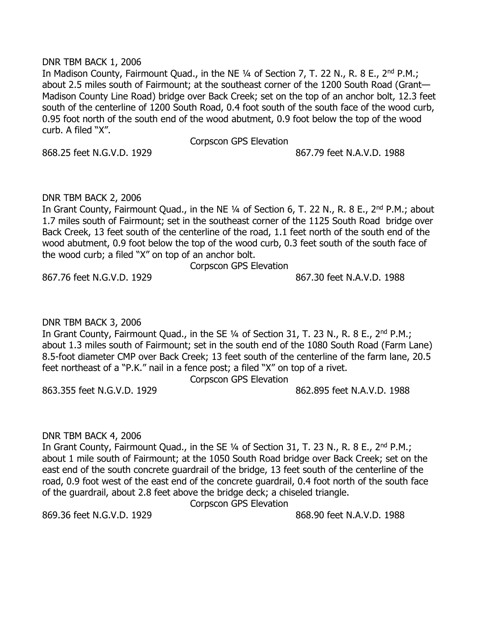#### DNR TBM BACK 1, 2006

In Madison County, Fairmount Quad., in the NE 1/4 of Section 7, T. 22 N., R. 8 E., 2<sup>nd</sup> P.M.; about 2.5 miles south of Fairmount; at the southeast corner of the 1200 South Road (Grant— Madison County Line Road) bridge over Back Creek; set on the top of an anchor bolt, 12.3 feet south of the centerline of 1200 South Road, 0.4 foot south of the south face of the wood curb, 0.95 foot north of the south end of the wood abutment, 0.9 foot below the top of the wood curb. A filed "X".

Corpscon GPS Elevation

868.25 feet N.G.V.D. 1929 **868.25** feet N.A.V.D. 1988

### DNR TBM BACK 2, 2006

In Grant County, Fairmount Quad., in the NE 1/4 of Section 6, T. 22 N., R. 8 E., 2<sup>nd</sup> P.M.; about 1.7 miles south of Fairmount; set in the southeast corner of the 1125 South Road bridge over Back Creek, 13 feet south of the centerline of the road, 1.1 feet north of the south end of the wood abutment, 0.9 foot below the top of the wood curb, 0.3 feet south of the south face of the wood curb; a filed "X" on top of an anchor bolt.

Corpscon GPS Elevation

867.76 feet N.G.V.D. 1929 867.30 feet N.A.V.D. 1988

# DNR TBM BACK 3, 2006

In Grant County, Fairmount Quad., in the SE 1/4 of Section 31, T. 23 N., R. 8 E., 2<sup>nd</sup> P.M.; about 1.3 miles south of Fairmount; set in the south end of the 1080 South Road (Farm Lane) 8.5-foot diameter CMP over Back Creek; 13 feet south of the centerline of the farm lane, 20.5 feet northeast of a "P.K." nail in a fence post; a filed "X" on top of a rivet.

Corpscon GPS Elevation

863.355 feet N.G.V.D. 1929 862.895 feet N.A.V.D. 1988

### DNR TBM BACK 4, 2006

In Grant County, Fairmount Quad., in the SE 1/4 of Section 31, T. 23 N., R. 8 E., 2<sup>nd</sup> P.M.; about 1 mile south of Fairmount; at the 1050 South Road bridge over Back Creek; set on the east end of the south concrete guardrail of the bridge, 13 feet south of the centerline of the road, 0.9 foot west of the east end of the concrete guardrail, 0.4 foot north of the south face of the guardrail, about 2.8 feet above the bridge deck; a chiseled triangle.

Corpscon GPS Elevation

869.36 feet N.G.V.D. 1929 868.90 feet N.A.V.D. 1988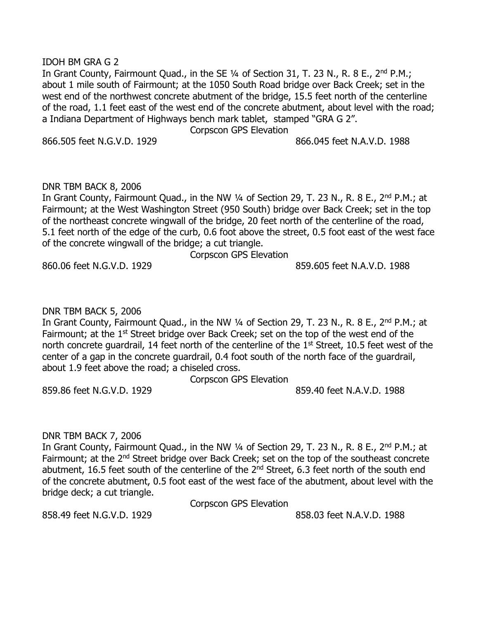#### IDOH BM GRA G 2

In Grant County, Fairmount Quad., in the SE 1/4 of Section 31, T. 23 N., R. 8 E., 2<sup>nd</sup> P.M.; about 1 mile south of Fairmount; at the 1050 South Road bridge over Back Creek; set in the west end of the northwest concrete abutment of the bridge, 15.5 feet north of the centerline of the road, 1.1 feet east of the west end of the concrete abutment, about level with the road; a Indiana Department of Highways bench mark tablet, stamped "GRA G 2".

Corpscon GPS Elevation

866.505 feet N.G.V.D. 1929 866.045 feet N.A.V.D. 1988

#### DNR TBM BACK 8, 2006

In Grant County, Fairmount Quad., in the NW 1/4 of Section 29, T. 23 N., R. 8 E., 2<sup>nd</sup> P.M.; at Fairmount; at the West Washington Street (950 South) bridge over Back Creek; set in the top of the northeast concrete wingwall of the bridge, 20 feet north of the centerline of the road, 5.1 feet north of the edge of the curb, 0.6 foot above the street, 0.5 foot east of the west face of the concrete wingwall of the bridge; a cut triangle.

Corpscon GPS Elevation

860.06 feet N.G.V.D. 1929 859.605 feet N.A.V.D. 1988

### DNR TBM BACK 5, 2006

In Grant County, Fairmount Quad., in the NW 1/4 of Section 29, T. 23 N., R. 8 E., 2<sup>nd</sup> P.M.; at Fairmount; at the 1<sup>st</sup> Street bridge over Back Creek; set on the top of the west end of the north concrete guardrail, 14 feet north of the centerline of the 1<sup>st</sup> Street, 10.5 feet west of the center of a gap in the concrete guardrail, 0.4 foot south of the north face of the guardrail, about 1.9 feet above the road; a chiseled cross.

Corpscon GPS Elevation

859.86 feet N.G.V.D. 1929 859.40 feet N.A.V.D. 1988

### DNR TBM BACK 7, 2006

In Grant County, Fairmount Quad., in the NW 1/4 of Section 29, T. 23 N., R. 8 E., 2<sup>nd</sup> P.M.; at Fairmount; at the 2<sup>nd</sup> Street bridge over Back Creek; set on the top of the southeast concrete abutment, 16.5 feet south of the centerline of the  $2<sup>nd</sup>$  Street, 6.3 feet north of the south end of the concrete abutment, 0.5 foot east of the west face of the abutment, about level with the bridge deck; a cut triangle.

858.49 feet N.G.V.D. 1929 **858.03** feet N.A.V.D. 1988

Corpscon GPS Elevation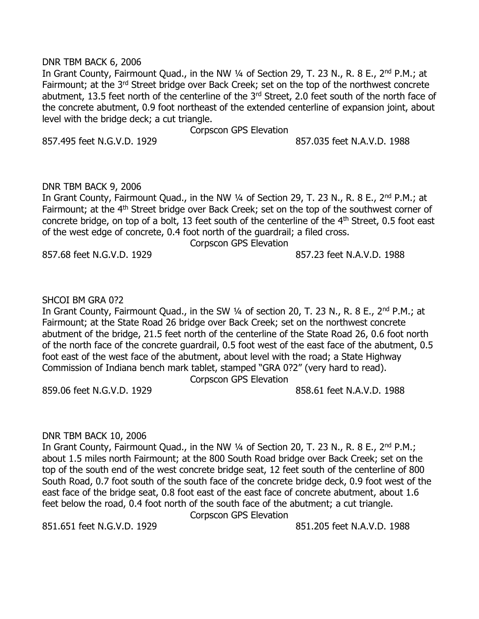#### DNR TBM BACK 6, 2006

In Grant County, Fairmount Quad., in the NW 1/4 of Section 29, T. 23 N., R. 8 E., 2<sup>nd</sup> P.M.; at Fairmount; at the 3<sup>rd</sup> Street bridge over Back Creek; set on the top of the northwest concrete abutment, 13.5 feet north of the centerline of the 3<sup>rd</sup> Street, 2.0 feet south of the north face of the concrete abutment, 0.9 foot northeast of the extended centerline of expansion joint, about level with the bridge deck; a cut triangle.

Corpscon GPS Elevation

857.495 feet N.G.V.D. 1929 857.035 feet N.A.V.D. 1988

### DNR TBM BACK 9, 2006

In Grant County, Fairmount Quad., in the NW 1/4 of Section 29, T. 23 N., R. 8 E., 2<sup>nd</sup> P.M.; at Fairmount; at the 4<sup>th</sup> Street bridge over Back Creek; set on the top of the southwest corner of concrete bridge, on top of a bolt, 13 feet south of the centerline of the 4<sup>th</sup> Street, 0.5 foot east of the west edge of concrete, 0.4 foot north of the guardrail; a filed cross. Corpscon GPS Elevation

857.68 feet N.G.V.D. 1929 857.23 feet N.A.V.D. 1988

# SHCOI BM GRA 0?2

In Grant County, Fairmount Quad., in the SW 1/4 of section 20, T. 23 N., R. 8 E., 2<sup>nd</sup> P.M.; at Fairmount; at the State Road 26 bridge over Back Creek; set on the northwest concrete abutment of the bridge, 21.5 feet north of the centerline of the State Road 26, 0.6 foot north of the north face of the concrete guardrail, 0.5 foot west of the east face of the abutment, 0.5 foot east of the west face of the abutment, about level with the road; a State Highway Commission of Indiana bench mark tablet, stamped "GRA 0?2" (very hard to read).

Corpscon GPS Elevation

859.06 feet N.G.V.D. 1929 858.61 feet N.A.V.D. 1988

### DNR TBM BACK 10, 2006

In Grant County, Fairmount Quad., in the NW 1/4 of Section 20, T. 23 N., R. 8 E., 2<sup>nd</sup> P.M.; about 1.5 miles north Fairmount; at the 800 South Road bridge over Back Creek; set on the top of the south end of the west concrete bridge seat, 12 feet south of the centerline of 800 South Road, 0.7 foot south of the south face of the concrete bridge deck, 0.9 foot west of the east face of the bridge seat, 0.8 foot east of the east face of concrete abutment, about 1.6 feet below the road, 0.4 foot north of the south face of the abutment; a cut triangle.

Corpscon GPS Elevation

851.651 feet N.G.V.D. 1929 851.205 feet N.A.V.D. 1988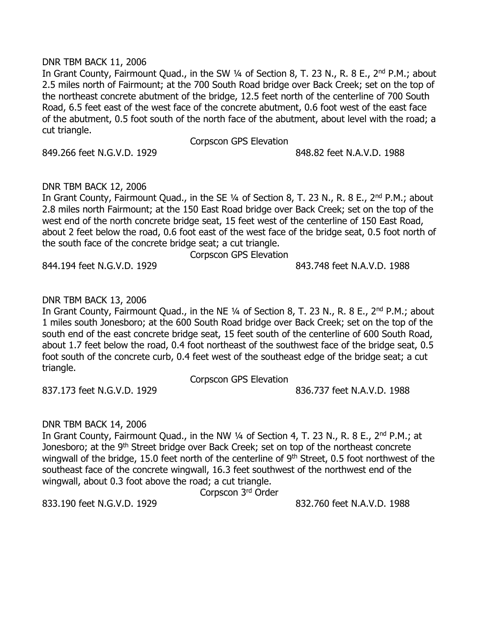#### DNR TBM BACK 11, 2006

In Grant County, Fairmount Quad., in the SW 1/4 of Section 8, T. 23 N., R. 8 E., 2<sup>nd</sup> P.M.; about 2.5 miles north of Fairmount; at the 700 South Road bridge over Back Creek; set on the top of the northeast concrete abutment of the bridge, 12.5 feet north of the centerline of 700 South Road, 6.5 feet east of the west face of the concrete abutment, 0.6 foot west of the east face of the abutment, 0.5 foot south of the north face of the abutment, about level with the road; a cut triangle.

Corpscon GPS Elevation

849.266 feet N.G.V.D. 1929 **848.82** feet N.A.V.D. 1988

### DNR TBM BACK 12, 2006

In Grant County, Fairmount Quad., in the SE 1/4 of Section 8, T. 23 N., R. 8 E., 2<sup>nd</sup> P.M.; about 2.8 miles north Fairmount; at the 150 East Road bridge over Back Creek; set on the top of the west end of the north concrete bridge seat, 15 feet west of the centerline of 150 East Road, about 2 feet below the road, 0.6 foot east of the west face of the bridge seat, 0.5 foot north of the south face of the concrete bridge seat; a cut triangle.

Corpscon GPS Elevation

844.194 feet N.G.V.D. 1929 **844.194 State State State State State State** 843.748 feet N.A.V.D. 1988

# DNR TBM BACK 13, 2006

In Grant County, Fairmount Quad., in the NE 1/4 of Section 8, T. 23 N., R. 8 E., 2<sup>nd</sup> P.M.; about 1 miles south Jonesboro; at the 600 South Road bridge over Back Creek; set on the top of the south end of the east concrete bridge seat, 15 feet south of the centerline of 600 South Road, about 1.7 feet below the road, 0.4 foot northeast of the southwest face of the bridge seat, 0.5 foot south of the concrete curb, 0.4 feet west of the southeast edge of the bridge seat; a cut triangle.

Corpscon GPS Elevation

837.173 feet N.G.V.D. 1929 836.737 feet N.A.V.D. 1988

# DNR TBM BACK 14, 2006

In Grant County, Fairmount Quad., in the NW 1/4 of Section 4, T. 23 N., R. 8 E., 2<sup>nd</sup> P.M.; at Jonesboro; at the 9<sup>th</sup> Street bridge over Back Creek; set on top of the northeast concrete wingwall of the bridge, 15.0 feet north of the centerline of 9<sup>th</sup> Street, 0.5 foot northwest of the southeast face of the concrete wingwall, 16.3 feet southwest of the northwest end of the wingwall, about 0.3 foot above the road; a cut triangle.

Corpscon 3rd Order

833.190 feet N.G.V.D. 1929 832.760 feet N.A.V.D. 1988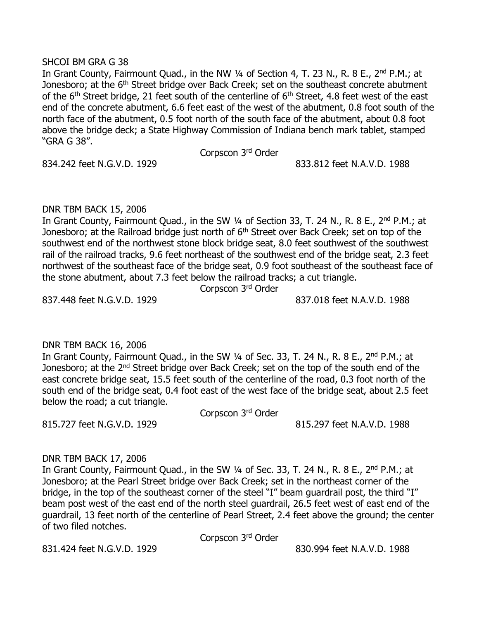#### SHCOI BM GRA G 38

In Grant County, Fairmount Quad., in the NW 1/4 of Section 4, T. 23 N., R. 8 E., 2<sup>nd</sup> P.M.; at Jonesboro; at the 6<sup>th</sup> Street bridge over Back Creek; set on the southeast concrete abutment of the  $6<sup>th</sup>$  Street bridge, 21 feet south of the centerline of  $6<sup>th</sup>$  Street, 4.8 feet west of the east end of the concrete abutment, 6.6 feet east of the west of the abutment, 0.8 foot south of the north face of the abutment, 0.5 foot north of the south face of the abutment, about 0.8 foot above the bridge deck; a State Highway Commission of Indiana bench mark tablet, stamped "GRA G 38".

Corpscon 3<sup>rd</sup> Order

834.242 feet N.G.V.D. 1929 833.812 feet N.A.V.D. 1988

# DNR TBM BACK 15, 2006

In Grant County, Fairmount Quad., in the SW 1/4 of Section 33, T. 24 N., R. 8 E., 2<sup>nd</sup> P.M.; at Jonesboro; at the Railroad bridge just north of 6<sup>th</sup> Street over Back Creek; set on top of the southwest end of the northwest stone block bridge seat, 8.0 feet southwest of the southwest rail of the railroad tracks, 9.6 feet northeast of the southwest end of the bridge seat, 2.3 feet northwest of the southeast face of the bridge seat, 0.9 foot southeast of the southeast face of the stone abutment, about 7.3 feet below the railroad tracks; a cut triangle.

Corpscon 3<sup>rd</sup> Order

837.448 feet N.G.V.D. 1929 837.018 feet N.A.V.D. 1988

### DNR TBM BACK 16, 2006

In Grant County, Fairmount Quad., in the SW 1/4 of Sec. 33, T. 24 N., R. 8 E., 2<sup>nd</sup> P.M.; at Jonesboro; at the 2<sup>nd</sup> Street bridge over Back Creek; set on the top of the south end of the east concrete bridge seat, 15.5 feet south of the centerline of the road, 0.3 foot north of the south end of the bridge seat, 0.4 foot east of the west face of the bridge seat, about 2.5 feet below the road; a cut triangle.

Corpscon 3<sup>rd</sup> Order

815.727 feet N.G.V.D. 1929 815.297 feet N.A.V.D. 1988

# DNR TBM BACK 17, 2006

In Grant County, Fairmount Quad., in the SW 1/4 of Sec. 33, T. 24 N., R. 8 E., 2<sup>nd</sup> P.M.; at Jonesboro; at the Pearl Street bridge over Back Creek; set in the northeast corner of the bridge, in the top of the southeast corner of the steel "I" beam guardrail post, the third "I" beam post west of the east end of the north steel guardrail, 26.5 feet west of east end of the guardrail, 13 feet north of the centerline of Pearl Street, 2.4 feet above the ground; the center of two filed notches.

Corpscon 3 rd Order

831.424 feet N.G.V.D. 1929 **831.424 feet N.G.V.D.** 1988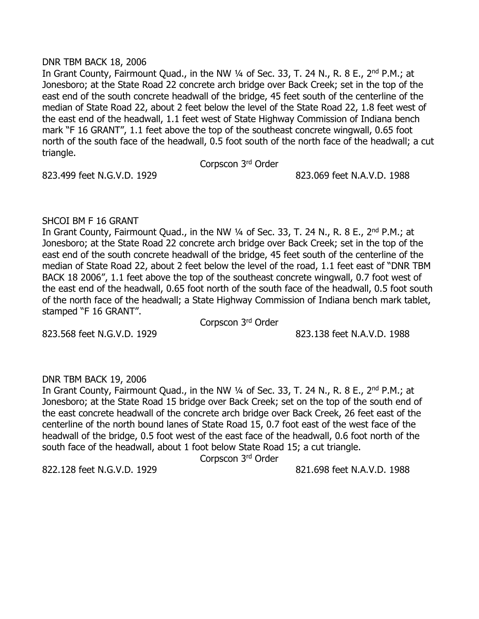#### DNR TBM BACK 18, 2006

In Grant County, Fairmount Quad., in the NW 1/4 of Sec. 33, T. 24 N., R. 8 E., 2<sup>nd</sup> P.M.; at Jonesboro; at the State Road 22 concrete arch bridge over Back Creek; set in the top of the east end of the south concrete headwall of the bridge, 45 feet south of the centerline of the median of State Road 22, about 2 feet below the level of the State Road 22, 1.8 feet west of the east end of the headwall, 1.1 feet west of State Highway Commission of Indiana bench mark "F 16 GRANT", 1.1 feet above the top of the southeast concrete wingwall, 0.65 foot north of the south face of the headwall, 0.5 foot south of the north face of the headwall; a cut triangle.

Corpscon 3<sup>rd</sup> Order

823.499 feet N.G.V.D. 1929 823.069 feet N.A.V.D. 1988

# SHCOI BM F 16 GRANT

In Grant County, Fairmount Quad., in the NW 1/4 of Sec. 33, T. 24 N., R. 8 E., 2<sup>nd</sup> P.M.; at Jonesboro; at the State Road 22 concrete arch bridge over Back Creek; set in the top of the east end of the south concrete headwall of the bridge, 45 feet south of the centerline of the median of State Road 22, about 2 feet below the level of the road, 1.1 feet east of "DNR TBM BACK 18 2006", 1.1 feet above the top of the southeast concrete wingwall, 0.7 foot west of the east end of the headwall, 0.65 foot north of the south face of the headwall, 0.5 foot south of the north face of the headwall; a State Highway Commission of Indiana bench mark tablet, stamped "F 16 GRANT".

Corpscon 3<sup>rd</sup> Order

823.568 feet N.G.V.D. 1929 823.138 feet N.A.V.D. 1988

### DNR TBM BACK 19, 2006

In Grant County, Fairmount Quad., in the NW 1/4 of Sec. 33, T. 24 N., R. 8 E., 2<sup>nd</sup> P.M.: at Jonesboro; at the State Road 15 bridge over Back Creek; set on the top of the south end of the east concrete headwall of the concrete arch bridge over Back Creek, 26 feet east of the centerline of the north bound lanes of State Road 15, 0.7 foot east of the west face of the headwall of the bridge, 0.5 foot west of the east face of the headwall, 0.6 foot north of the south face of the headwall, about 1 foot below State Road 15; a cut triangle.

Corpscon 3<sup>rd</sup> Order

822.128 feet N.G.V.D. 1929 821.698 feet N.A.V.D. 1988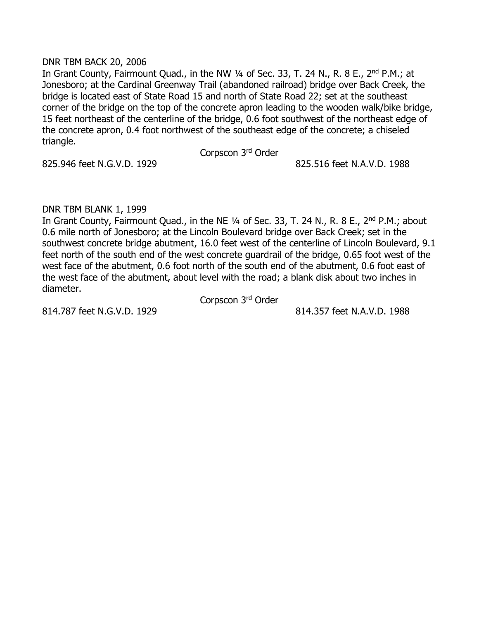#### DNR TBM BACK 20, 2006

In Grant County, Fairmount Quad., in the NW 1/4 of Sec. 33, T. 24 N., R. 8 E., 2<sup>nd</sup> P.M.; at Jonesboro; at the Cardinal Greenway Trail (abandoned railroad) bridge over Back Creek, the bridge is located east of State Road 15 and north of State Road 22; set at the southeast corner of the bridge on the top of the concrete apron leading to the wooden walk/bike bridge, 15 feet northeast of the centerline of the bridge, 0.6 foot southwest of the northeast edge of the concrete apron, 0.4 foot northwest of the southeast edge of the concrete; a chiseled triangle.

#### Corpscon 3<sup>rd</sup> Order

825.946 feet N.G.V.D. 1929 825.516 feet N.A.V.D. 1988

# DNR TBM BLANK 1, 1999

In Grant County, Fairmount Quad., in the NE 1/4 of Sec. 33, T. 24 N., R. 8 E., 2<sup>nd</sup> P.M.; about 0.6 mile north of Jonesboro; at the Lincoln Boulevard bridge over Back Creek; set in the southwest concrete bridge abutment, 16.0 feet west of the centerline of Lincoln Boulevard, 9.1 feet north of the south end of the west concrete guardrail of the bridge, 0.65 foot west of the west face of the abutment, 0.6 foot north of the south end of the abutment, 0.6 foot east of the west face of the abutment, about level with the road; a blank disk about two inches in diameter.

814.787 feet N.G.V.D. 1929 814.357 feet N.A.V.D. 1988

Corpscon 3<sup>rd</sup> Order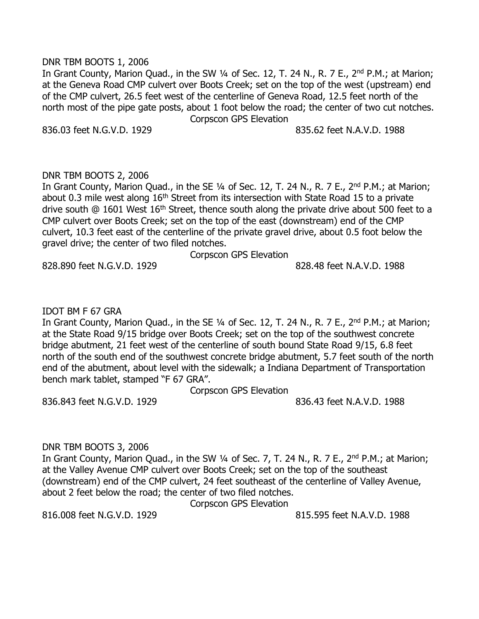#### DNR TBM BOOTS 1, 2006

In Grant County, Marion Quad., in the SW 1/4 of Sec. 12, T. 24 N., R. 7 E., 2<sup>nd</sup> P.M.; at Marion; at the Geneva Road CMP culvert over Boots Creek; set on the top of the west (upstream) end of the CMP culvert, 26.5 feet west of the centerline of Geneva Road, 12.5 feet north of the north most of the pipe gate posts, about 1 foot below the road; the center of two cut notches. Corpscon GPS Elevation

836.03 feet N.G.V.D. 1929 835.62 feet N.A.V.D. 1988

### DNR TBM BOOTS 2, 2006

In Grant County, Marion Quad., in the SE 1/4 of Sec. 12, T. 24 N., R. 7 E., 2<sup>nd</sup> P.M.; at Marion; about 0.3 mile west along 16<sup>th</sup> Street from its intersection with State Road 15 to a private drive south  $\omega$  1601 West 16<sup>th</sup> Street, thence south along the private drive about 500 feet to a CMP culvert over Boots Creek; set on the top of the east (downstream) end of the CMP culvert, 10.3 feet east of the centerline of the private gravel drive, about 0.5 foot below the gravel drive; the center of two filed notches.

Corpscon GPS Elevation

828.890 feet N.G.V.D. 1929 828.48 feet N.A.V.D. 1988

#### IDOT BM F 67 GRA

In Grant County, Marion Quad., in the SE 1/4 of Sec. 12, T. 24 N., R. 7 E., 2<sup>nd</sup> P.M.; at Marion; at the State Road 9/15 bridge over Boots Creek; set on the top of the southwest concrete bridge abutment, 21 feet west of the centerline of south bound State Road 9/15, 6.8 feet north of the south end of the southwest concrete bridge abutment, 5.7 feet south of the north end of the abutment, about level with the sidewalk; a Indiana Department of Transportation bench mark tablet, stamped "F 67 GRA".

Corpscon GPS Elevation

836.843 feet N.G.V.D. 1929 836.43 feet N.A.V.D. 1988

### DNR TBM BOOTS 3, 2006

In Grant County, Marion Quad., in the SW 1/4 of Sec. 7, T. 24 N., R. 7 E., 2<sup>nd</sup> P.M.; at Marion; at the Valley Avenue CMP culvert over Boots Creek; set on the top of the southeast (downstream) end of the CMP culvert, 24 feet southeast of the centerline of Valley Avenue, about 2 feet below the road; the center of two filed notches.

Corpscon GPS Elevation

816.008 feet N.G.V.D. 1929 815.595 feet N.A.V.D. 1988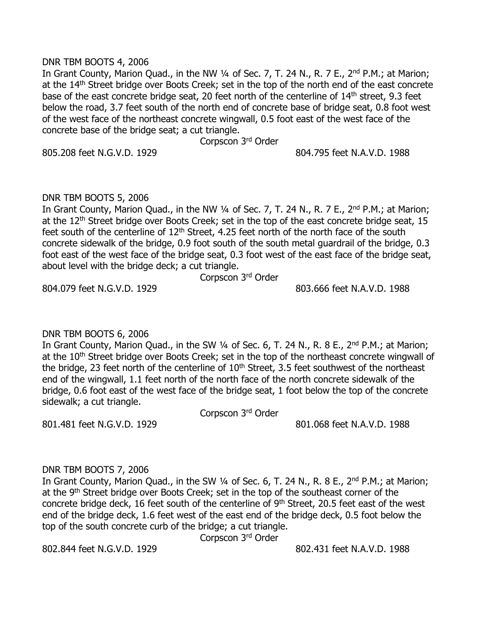#### DNR TBM BOOTS 4, 2006

In Grant County, Marion Quad., in the NW 1/4 of Sec. 7, T. 24 N., R. 7 E., 2<sup>nd</sup> P.M.; at Marion; at the 14<sup>th</sup> Street bridge over Boots Creek; set in the top of the north end of the east concrete base of the east concrete bridge seat, 20 feet north of the centerline of 14<sup>th</sup> street, 9.3 feet below the road, 3.7 feet south of the north end of concrete base of bridge seat, 0.8 foot west of the west face of the northeast concrete wingwall, 0.5 foot east of the west face of the concrete base of the bridge seat; a cut triangle.

Corpscon 3<sup>rd</sup> Order

805.208 feet N.G.V.D. 1929 804.795 feet N.A.V.D. 1988

#### DNR TBM BOOTS 5, 2006

In Grant County, Marion Quad., in the NW 1/4 of Sec. 7, T. 24 N., R. 7 E., 2<sup>nd</sup> P.M.; at Marion; at the 12<sup>th</sup> Street bridge over Boots Creek; set in the top of the east concrete bridge seat, 15 feet south of the centerline of  $12<sup>th</sup>$  Street, 4.25 feet north of the north face of the south concrete sidewalk of the bridge, 0.9 foot south of the south metal guardrail of the bridge, 0.3 foot east of the west face of the bridge seat, 0.3 foot west of the east face of the bridge seat, about level with the bridge deck; a cut triangle.

Corpscon 3<sup>rd</sup> Order

804.079 feet N.G.V.D. 1929 803.666 feet N.A.V.D. 1988

### DNR TBM BOOTS 6, 2006

In Grant County, Marion Quad., in the SW 1/4 of Sec. 6, T. 24 N., R. 8 E., 2<sup>nd</sup> P.M.; at Marion; at the 10<sup>th</sup> Street bridge over Boots Creek; set in the top of the northeast concrete wingwall of the bridge, 23 feet north of the centerline of  $10<sup>th</sup>$  Street, 3.5 feet southwest of the northeast end of the wingwall, 1.1 feet north of the north face of the north concrete sidewalk of the bridge, 0.6 foot east of the west face of the bridge seat, 1 foot below the top of the concrete sidewalk; a cut triangle.

Corpscon 3<sup>rd</sup> Order

801.481 feet N.G.V.D. 1929 801.068 feet N.A.V.D. 1988

#### DNR TBM BOOTS 7, 2006

In Grant County, Marion Quad., in the SW 1/4 of Sec. 6, T. 24 N., R. 8 E., 2<sup>nd</sup> P.M.; at Marion; at the 9<sup>th</sup> Street bridge over Boots Creek; set in the top of the southeast corner of the concrete bridge deck, 16 feet south of the centerline of 9<sup>th</sup> Street, 20.5 feet east of the west end of the bridge deck, 1.6 feet west of the east end of the bridge deck, 0.5 foot below the top of the south concrete curb of the bridge; a cut triangle.

Corpscon 3 rd Order

802.844 feet N.G.V.D. 1929 802.431 feet N.A.V.D. 1988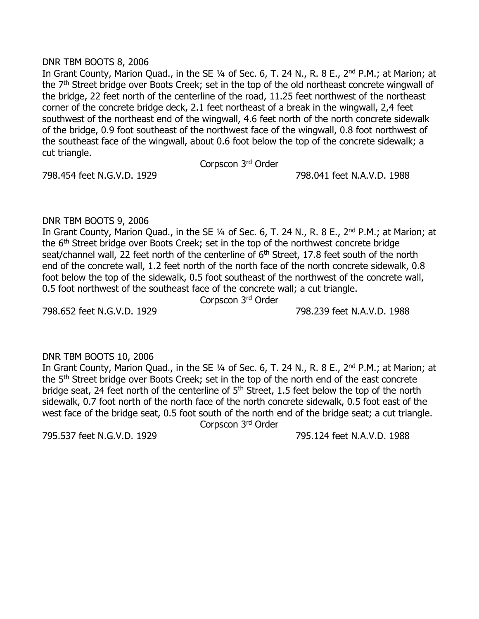#### DNR TBM BOOTS 8, 2006

In Grant County, Marion Quad., in the SE 1/4 of Sec. 6, T. 24 N., R. 8 E., 2<sup>nd</sup> P.M.; at Marion; at the 7<sup>th</sup> Street bridge over Boots Creek; set in the top of the old northeast concrete wingwall of the bridge, 22 feet north of the centerline of the road, 11.25 feet northwest of the northeast corner of the concrete bridge deck, 2.1 feet northeast of a break in the wingwall, 2,4 feet southwest of the northeast end of the wingwall, 4.6 feet north of the north concrete sidewalk of the bridge, 0.9 foot southeast of the northwest face of the wingwall, 0.8 foot northwest of the southeast face of the wingwall, about 0.6 foot below the top of the concrete sidewalk; a cut triangle.

Corpscon 3<sup>rd</sup> Order

798.454 feet N.G.V.D. 1929 798.041 feet N.A.V.D. 1988

# DNR TBM BOOTS 9, 2006

In Grant County, Marion Quad., in the SE 1/4 of Sec. 6, T. 24 N., R. 8 E., 2<sup>nd</sup> P.M.; at Marion; at the 6<sup>th</sup> Street bridge over Boots Creek; set in the top of the northwest concrete bridge seat/channel wall, 22 feet north of the centerline of 6<sup>th</sup> Street, 17.8 feet south of the north end of the concrete wall, 1.2 feet north of the north face of the north concrete sidewalk, 0.8 foot below the top of the sidewalk, 0.5 foot southeast of the northwest of the concrete wall, 0.5 foot northwest of the southeast face of the concrete wall; a cut triangle.

Corpscon 3<sup>rd</sup> Order

798.652 feet N.G.V.D. 1929 798.239 feet N.A.V.D. 1988

### DNR TBM BOOTS 10, 2006

In Grant County, Marion Quad., in the SE 1/4 of Sec. 6, T. 24 N., R. 8 E., 2<sup>nd</sup> P.M.; at Marion; at the 5<sup>th</sup> Street bridge over Boots Creek; set in the top of the north end of the east concrete bridge seat, 24 feet north of the centerline of 5<sup>th</sup> Street, 1.5 feet below the top of the north sidewalk, 0.7 foot north of the north face of the north concrete sidewalk, 0.5 foot east of the west face of the bridge seat, 0.5 foot south of the north end of the bridge seat; a cut triangle.

Corpscon 3<sup>rd</sup> Order

795.537 feet N.G.V.D. 1929 795.124 feet N.A.V.D. 1988